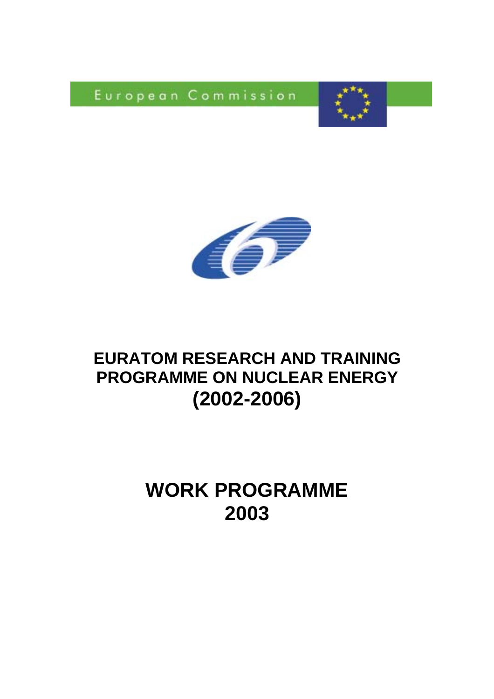European Commission





# **EURATOM RESEARCH AND TRAINING PROGRAMME ON NUCLEAR ENERGY (2002-2006)**

# **WORK PROGRAMME 2003**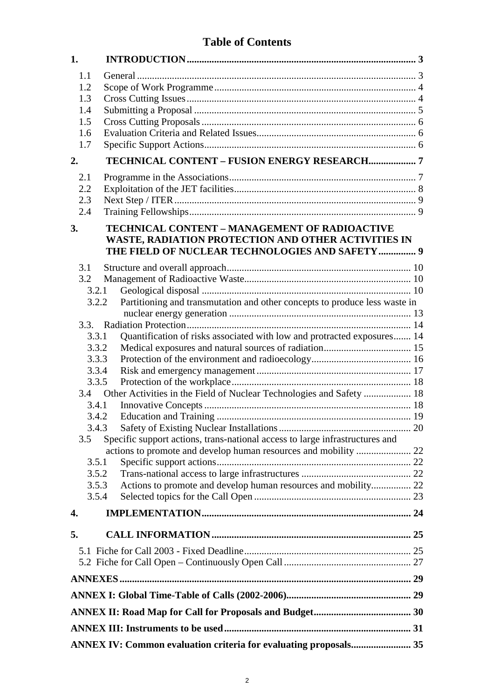## **Table of Contents**

| 1.                                                               |                                                                              |  |  |  |
|------------------------------------------------------------------|------------------------------------------------------------------------------|--|--|--|
| 1.1                                                              |                                                                              |  |  |  |
| 1.2                                                              |                                                                              |  |  |  |
| 1.3                                                              |                                                                              |  |  |  |
| 1.4                                                              |                                                                              |  |  |  |
| 1.5                                                              |                                                                              |  |  |  |
| 1.6                                                              |                                                                              |  |  |  |
| 1.7                                                              |                                                                              |  |  |  |
| 2.                                                               | TECHNICAL CONTENT - FUSION ENERGY RESEARCH7                                  |  |  |  |
| 2.1                                                              |                                                                              |  |  |  |
| 2.2                                                              |                                                                              |  |  |  |
| 2.3                                                              |                                                                              |  |  |  |
| 2.4                                                              |                                                                              |  |  |  |
| 3.                                                               | TECHNICAL CONTENT - MANAGEMENT OF RADIOACTIVE                                |  |  |  |
|                                                                  | WASTE, RADIATION PROTECTION AND OTHER ACTIVITIES IN                          |  |  |  |
|                                                                  | THE FIELD OF NUCLEAR TECHNOLOGIES AND SAFETY 9                               |  |  |  |
| 3.1                                                              |                                                                              |  |  |  |
| 3.2                                                              |                                                                              |  |  |  |
| 3.2.1                                                            |                                                                              |  |  |  |
| 3.2.2                                                            | Partitioning and transmutation and other concepts to produce less waste in   |  |  |  |
|                                                                  |                                                                              |  |  |  |
|                                                                  |                                                                              |  |  |  |
| 3.3.1                                                            | Quantification of risks associated with low and protracted exposures 14      |  |  |  |
| 3.3.2                                                            |                                                                              |  |  |  |
| 3.3.3                                                            |                                                                              |  |  |  |
| 3.3.4                                                            |                                                                              |  |  |  |
| 3.3.5                                                            |                                                                              |  |  |  |
| 3.4.1                                                            |                                                                              |  |  |  |
| 3.4.2                                                            |                                                                              |  |  |  |
| 3.4.3                                                            |                                                                              |  |  |  |
| 3.5                                                              | Specific support actions, trans-national access to large infrastructures and |  |  |  |
|                                                                  |                                                                              |  |  |  |
| 3.5.1                                                            |                                                                              |  |  |  |
| 3.5.2                                                            |                                                                              |  |  |  |
| 3.5.3                                                            | Actions to promote and develop human resources and mobility 22               |  |  |  |
| 3.5.4                                                            |                                                                              |  |  |  |
| 4.                                                               |                                                                              |  |  |  |
|                                                                  |                                                                              |  |  |  |
| 5.                                                               |                                                                              |  |  |  |
|                                                                  |                                                                              |  |  |  |
|                                                                  |                                                                              |  |  |  |
|                                                                  |                                                                              |  |  |  |
|                                                                  |                                                                              |  |  |  |
|                                                                  |                                                                              |  |  |  |
|                                                                  |                                                                              |  |  |  |
| ANNEX IV: Common evaluation criteria for evaluating proposals 35 |                                                                              |  |  |  |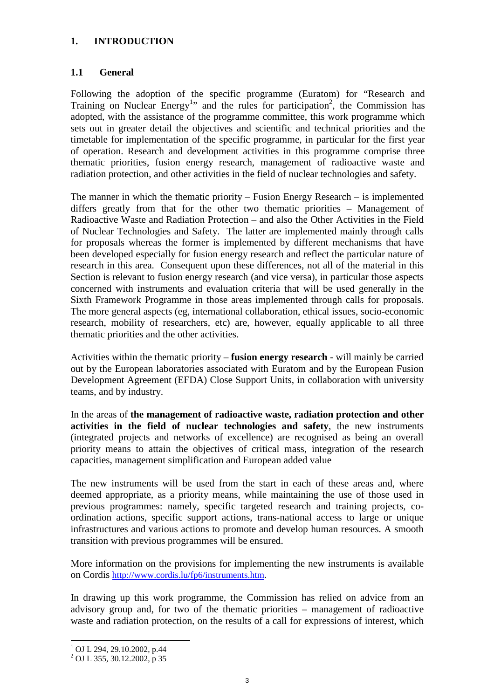#### **1. INTRODUCTION**

#### **1.1 General**

Following the adoption of the specific programme (Euratom) for "Research and Training on Nuclear Energy<sup>1</sup>" and the rules for participation<sup>2</sup>, the Commission has adopted, with the assistance of the programme committee, this work programme which sets out in greater detail the objectives and scientific and technical priorities and the timetable for implementation of the specific programme, in particular for the first year of operation. Research and development activities in this programme comprise three thematic priorities, fusion energy research, management of radioactive waste and radiation protection, and other activities in the field of nuclear technologies and safety.

The manner in which the thematic priority – Fusion Energy Research – is implemented differs greatly from that for the other two thematic priorities – Management of Radioactive Waste and Radiation Protection – and also the Other Activities in the Field of Nuclear Technologies and Safety. The latter are implemented mainly through calls for proposals whereas the former is implemented by different mechanisms that have been developed especially for fusion energy research and reflect the particular nature of research in this area. Consequent upon these differences, not all of the material in this Section is relevant to fusion energy research (and vice versa), in particular those aspects concerned with instruments and evaluation criteria that will be used generally in the Sixth Framework Programme in those areas implemented through calls for proposals. The more general aspects (eg, international collaboration, ethical issues, socio-economic research, mobility of researchers, etc) are, however, equally applicable to all three thematic priorities and the other activities.

Activities within the thematic priority – **fusion energy research** - will mainly be carried out by the European laboratories associated with Euratom and by the European Fusion Development Agreement (EFDA) Close Support Units, in collaboration with university teams, and by industry.

In the areas of **the management of radioactive waste, radiation protection and other activities in the field of nuclear technologies and safety**, the new instruments (integrated projects and networks of excellence) are recognised as being an overall priority means to attain the objectives of critical mass, integration of the research capacities, management simplification and European added value

The new instruments will be used from the start in each of these areas and, where deemed appropriate, as a priority means, while maintaining the use of those used in previous programmes: namely, specific targeted research and training projects, coordination actions, specific support actions, trans-national access to large or unique infrastructures and various actions to promote and develop human resources. A smooth transition with previous programmes will be ensured.

More information on the provisions for implementing the new instruments is available on Cordis http://www.cordis.lu/fp6/instruments.htm.

In drawing up this work programme, the Commission has relied on advice from an advisory group and, for two of the thematic priorities – management of radioactive waste and radiation protection, on the results of a call for expressions of interest, which

l

<sup>1</sup> OJ L 294, 29.10.2002, p.44

<sup>2</sup> OJ L 355, 30.12.2002, p 35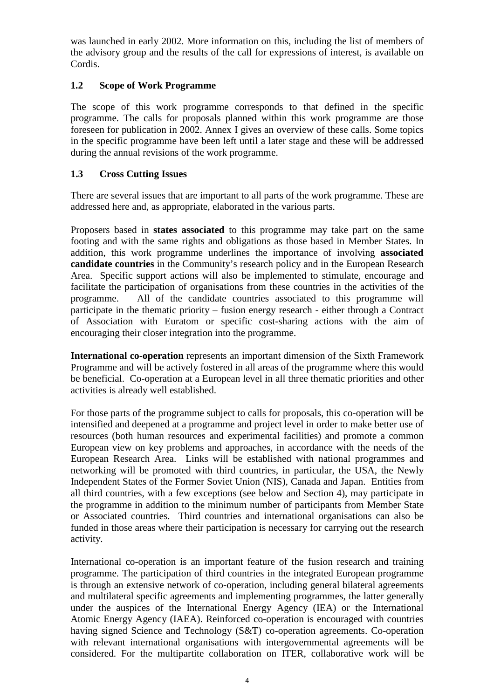was launched in early 2002. More information on this, including the list of members of the advisory group and the results of the call for expressions of interest, is available on Cordis.

## **1.2 Scope of Work Programme**

The scope of this work programme corresponds to that defined in the specific programme. The calls for proposals planned within this work programme are those foreseen for publication in 2002. Annex I gives an overview of these calls. Some topics in the specific programme have been left until a later stage and these will be addressed during the annual revisions of the work programme.

## **1.3 Cross Cutting Issues**

There are several issues that are important to all parts of the work programme. These are addressed here and, as appropriate, elaborated in the various parts.

Proposers based in **states associated** to this programme may take part on the same footing and with the same rights and obligations as those based in Member States. In addition, this work programme underlines the importance of involving **associated candidate countries** in the Community's research policy and in the European Research Area. Specific support actions will also be implemented to stimulate, encourage and facilitate the participation of organisations from these countries in the activities of the programme. All of the candidate countries associated to this programme will participate in the thematic priority – fusion energy research - either through a Contract of Association with Euratom or specific cost-sharing actions with the aim of encouraging their closer integration into the programme.

**International co-operation** represents an important dimension of the Sixth Framework Programme and will be actively fostered in all areas of the programme where this would be beneficial. Co-operation at a European level in all three thematic priorities and other activities is already well established.

For those parts of the programme subject to calls for proposals, this co-operation will be intensified and deepened at a programme and project level in order to make better use of resources (both human resources and experimental facilities) and promote a common European view on key problems and approaches, in accordance with the needs of the European Research Area. Links will be established with national programmes and networking will be promoted with third countries, in particular, the USA, the Newly Independent States of the Former Soviet Union (NIS), Canada and Japan. Entities from all third countries, with a few exceptions (see below and Section 4), may participate in the programme in addition to the minimum number of participants from Member State or Associated countries. Third countries and international organisations can also be funded in those areas where their participation is necessary for carrying out the research activity.

International co-operation is an important feature of the fusion research and training programme. The participation of third countries in the integrated European programme is through an extensive network of co-operation, including general bilateral agreements and multilateral specific agreements and implementing programmes, the latter generally under the auspices of the International Energy Agency (IEA) or the International Atomic Energy Agency (IAEA). Reinforced co-operation is encouraged with countries having signed Science and Technology (S&T) co-operation agreements. Co-operation with relevant international organisations with intergovernmental agreements will be considered. For the multipartite collaboration on ITER, collaborative work will be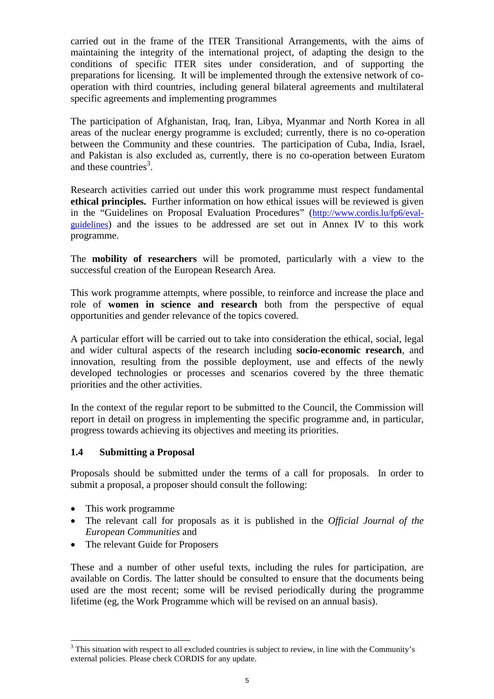carried out in the frame of the ITER Transitional Arrangements, with the aims of maintaining the integrity of the international project, of adapting the design to the conditions of specific ITER sites under consideration, and of supporting the preparations for licensing. It will be implemented through the extensive network of cooperation with third countries, including general bilateral agreements and multilateral specific agreements and implementing programmes

The participation of Afghanistan, Iraq, Iran, Libya, Myanmar and North Korea in all areas of the nuclear energy programme is excluded; currently, there is no co-operation between the Community and these countries. The participation of Cuba, India, Israel, and Pakistan is also excluded as, currently, there is no co-operation between Euratom and these countries<sup>3</sup>.

Research activities carried out under this work programme must respect fundamental **ethical principles.** Further information on how ethical issues will be reviewed is given in the "Guidelines on Proposal Evaluation Procedures" (http://www.cordis.lu/fp6/evalguidelines) and the issues to be addressed are set out in Annex IV to this work programme.

The **mobility of researchers** will be promoted, particularly with a view to the successful creation of the European Research Area.

This work programme attempts, where possible, to reinforce and increase the place and role of **women in science and research** both from the perspective of equal opportunities and gender relevance of the topics covered.

A particular effort will be carried out to take into consideration the ethical, social, legal and wider cultural aspects of the research including **socio-economic research**, and innovation, resulting from the possible deployment, use and effects of the newly developed technologies or processes and scenarios covered by the three thematic priorities and the other activities.

In the context of the regular report to be submitted to the Council, the Commission will report in detail on progress in implementing the specific programme and, in particular, progress towards achieving its objectives and meeting its priorities.

## **1.4 Submitting a Proposal**

Proposals should be submitted under the terms of a call for proposals. In order to submit a proposal, a proposer should consult the following:

• This work programme

l

- The relevant call for proposals as it is published in the *Official Journal of the European Communities* and
- $\bullet$ The relevant Guide for Proposers

These and a number of other useful texts, including the rules for participation, are available on Cordis. The latter should be consulted to ensure that the documents being used are the most recent; some will be revised periodically during the programme lifetime (eg, the Work Programme which will be revised on an annual basis).

 $3$  This situation with respect to all excluded countries is subject to review, in line with the Community's external policies. Please check CORDIS for any update.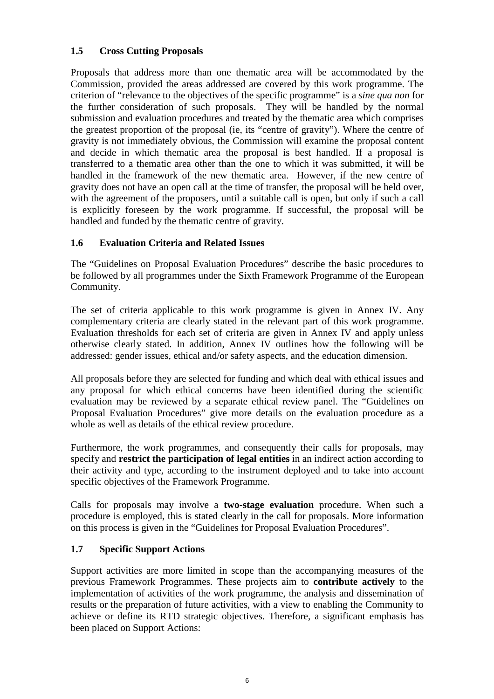## **1.5 Cross Cutting Proposals**

Proposals that address more than one thematic area will be accommodated by the Commission, provided the areas addressed are covered by this work programme. The criterion of "relevance to the objectives of the specific programme" is a *sine qua non* for the further consideration of such proposals. They will be handled by the normal submission and evaluation procedures and treated by the thematic area which comprises the greatest proportion of the proposal (ie, its "centre of gravity"). Where the centre of gravity is not immediately obvious, the Commission will examine the proposal content and decide in which thematic area the proposal is best handled. If a proposal is transferred to a thematic area other than the one to which it was submitted, it will be handled in the framework of the new thematic area. However, if the new centre of gravity does not have an open call at the time of transfer, the proposal will be held over, with the agreement of the proposers, until a suitable call is open, but only if such a call is explicitly foreseen by the work programme. If successful, the proposal will be handled and funded by the thematic centre of gravity.

## **1.6 Evaluation Criteria and Related Issues**

The "Guidelines on Proposal Evaluation Procedures" describe the basic procedures to be followed by all programmes under the Sixth Framework Programme of the European Community.

The set of criteria applicable to this work programme is given in Annex IV. Any complementary criteria are clearly stated in the relevant part of this work programme. Evaluation thresholds for each set of criteria are given in Annex IV and apply unless otherwise clearly stated. In addition, Annex IV outlines how the following will be addressed: gender issues, ethical and/or safety aspects, and the education dimension.

All proposals before they are selected for funding and which deal with ethical issues and any proposal for which ethical concerns have been identified during the scientific evaluation may be reviewed by a separate ethical review panel. The "Guidelines on Proposal Evaluation Procedures" give more details on the evaluation procedure as a whole as well as details of the ethical review procedure.

Furthermore, the work programmes, and consequently their calls for proposals, may specify and **restrict the participation of legal entities** in an indirect action according to their activity and type, according to the instrument deployed and to take into account specific objectives of the Framework Programme.

Calls for proposals may involve a **two-stage evaluation** procedure. When such a procedure is employed, this is stated clearly in the call for proposals. More information on this process is given in the "Guidelines for Proposal Evaluation Procedures".

## **1.7 Specific Support Actions**

Support activities are more limited in scope than the accompanying measures of the previous Framework Programmes. These projects aim to **contribute actively** to the implementation of activities of the work programme, the analysis and dissemination of results or the preparation of future activities, with a view to enabling the Community to achieve or define its RTD strategic objectives. Therefore, a significant emphasis has been placed on Support Actions: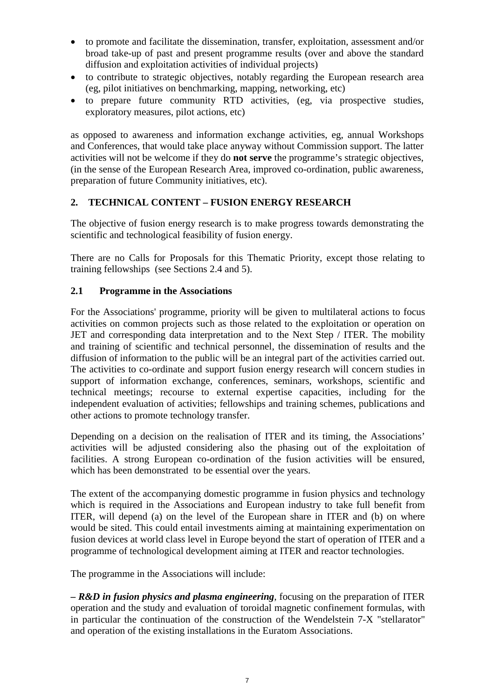- $\bullet$  to promote and facilitate the dissemination, transfer, exploitation, assessment and/or broad take-up of past and present programme results (over and above the standard diffusion and exploitation activities of individual projects)
- $\bullet$  to contribute to strategic objectives, notably regarding the European research area (eg, pilot initiatives on benchmarking, mapping, networking, etc)
- $\bullet$  to prepare future community RTD activities, (eg, via prospective studies, exploratory measures, pilot actions, etc)

as opposed to awareness and information exchange activities, eg, annual Workshops and Conferences, that would take place anyway without Commission support. The latter activities will not be welcome if they do **not serve** the programme's strategic objectives, (in the sense of the European Research Area, improved co-ordination, public awareness, preparation of future Community initiatives, etc).

## **2. TECHNICAL CONTENT – FUSION ENERGY RESEARCH**

The objective of fusion energy research is to make progress towards demonstrating the scientific and technological feasibility of fusion energy.

There are no Calls for Proposals for this Thematic Priority, except those relating to training fellowships (see Sections 2.4 and 5).

## **2.1 Programme in the Associations**

For the Associations' programme, priority will be given to multilateral actions to focus activities on common projects such as those related to the exploitation or operation on JET and corresponding data interpretation and to the Next Step / ITER. The mobility and training of scientific and technical personnel, the dissemination of results and the diffusion of information to the public will be an integral part of the activities carried out. The activities to co-ordinate and support fusion energy research will concern studies in support of information exchange, conferences, seminars, workshops, scientific and technical meetings; recourse to external expertise capacities, including for the independent evaluation of activities; fellowships and training schemes, publications and other actions to promote technology transfer.

Depending on a decision on the realisation of ITER and its timing, the Associations' activities will be adjusted considering also the phasing out of the exploitation of facilities. A strong European co-ordination of the fusion activities will be ensured, which has been demonstrated to be essential over the years.

The extent of the accompanying domestic programme in fusion physics and technology which is required in the Associations and European industry to take full benefit from ITER, will depend (a) on the level of the European share in ITER and (b) on where would be sited. This could entail investments aiming at maintaining experimentation on fusion devices at world class level in Europe beyond the start of operation of ITER and a programme of technological development aiming at ITER and reactor technologies.

The programme in the Associations will include:

**–** *R&D in fusion physics and plasma engineering*, focusing on the preparation of ITER operation and the study and evaluation of toroidal magnetic confinement formulas, with in particular the continuation of the construction of the Wendelstein 7-X "stellarator" and operation of the existing installations in the Euratom Associations.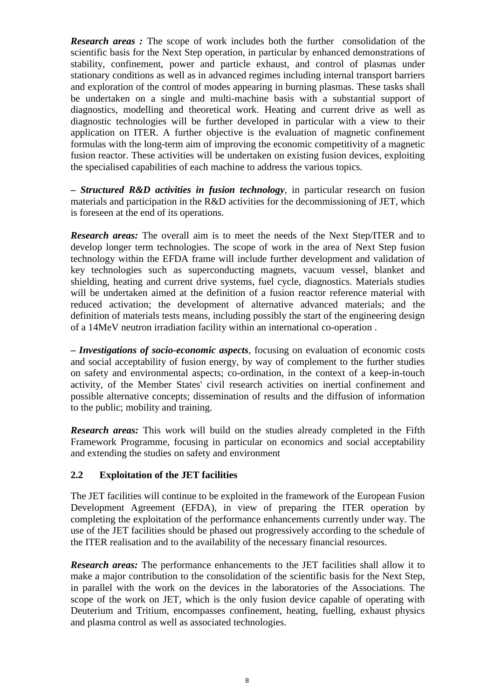*Research areas :* The scope of work includes both the further consolidation of the scientific basis for the Next Step operation, in particular by enhanced demonstrations of stability, confinement, power and particle exhaust, and control of plasmas under stationary conditions as well as in advanced regimes including internal transport barriers and exploration of the control of modes appearing in burning plasmas. These tasks shall be undertaken on a single and multi-machine basis with a substantial support of diagnostics, modelling and theoretical work. Heating and current drive as well as diagnostic technologies will be further developed in particular with a view to their application on ITER. A further objective is the evaluation of magnetic confinement formulas with the long-term aim of improving the economic competitivity of a magnetic fusion reactor. These activities will be undertaken on existing fusion devices, exploiting the specialised capabilities of each machine to address the various topics.

**–** *Structured R&D activities in fusion technology*, in particular research on fusion materials and participation in the R&D activities for the decommissioning of JET, which is foreseen at the end of its operations.

*Research areas:* The overall aim is to meet the needs of the Next Step/ITER and to develop longer term technologies. The scope of work in the area of Next Step fusion technology within the EFDA frame will include further development and validation of key technologies such as superconducting magnets, vacuum vessel, blanket and shielding, heating and current drive systems, fuel cycle, diagnostics. Materials studies will be undertaken aimed at the definition of a fusion reactor reference material with reduced activation; the development of alternative advanced materials; and the definition of materials tests means, including possibly the start of the engineering design of a 14MeV neutron irradiation facility within an international co-operation .

**–** *Investigations of socio-economic aspects*, focusing on evaluation of economic costs and social acceptability of fusion energy, by way of complement to the further studies on safety and environmental aspects; co-ordination, in the context of a keep-in-touch activity, of the Member States' civil research activities on inertial confinement and possible alternative concepts; dissemination of results and the diffusion of information to the public; mobility and training.

*Research areas:* This work will build on the studies already completed in the Fifth Framework Programme, focusing in particular on economics and social acceptability and extending the studies on safety and environment

#### **2.2 Exploitation of the JET facilities**

The JET facilities will continue to be exploited in the framework of the European Fusion Development Agreement (EFDA), in view of preparing the ITER operation by completing the exploitation of the performance enhancements currently under way. The use of the JET facilities should be phased out progressively according to the schedule of the ITER realisation and to the availability of the necessary financial resources.

*Research areas:* The performance enhancements to the JET facilities shall allow it to make a major contribution to the consolidation of the scientific basis for the Next Step, in parallel with the work on the devices in the laboratories of the Associations. The scope of the work on JET, which is the only fusion device capable of operating with Deuterium and Tritium, encompasses confinement, heating, fuelling, exhaust physics and plasma control as well as associated technologies.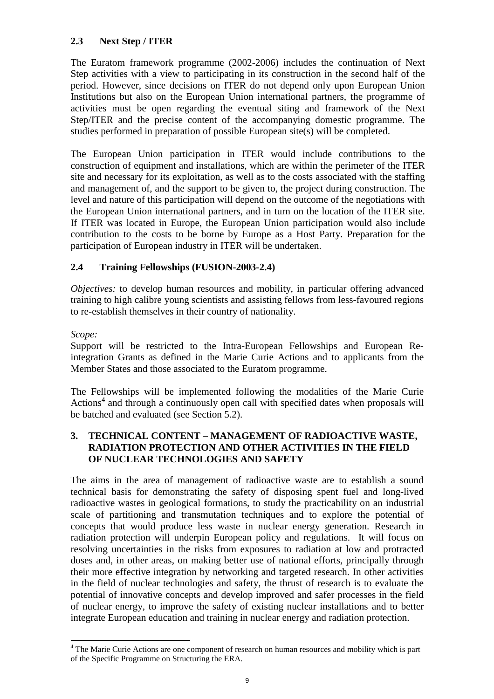## **2.3 Next Step / ITER**

The Euratom framework programme (2002-2006) includes the continuation of Next Step activities with a view to participating in its construction in the second half of the period. However, since decisions on ITER do not depend only upon European Union Institutions but also on the European Union international partners, the programme of activities must be open regarding the eventual siting and framework of the Next Step/ITER and the precise content of the accompanying domestic programme. The studies performed in preparation of possible European site(s) will be completed.

The European Union participation in ITER would include contributions to the construction of equipment and installations, which are within the perimeter of the ITER site and necessary for its exploitation, as well as to the costs associated with the staffing and management of, and the support to be given to, the project during construction. The level and nature of this participation will depend on the outcome of the negotiations with the European Union international partners, and in turn on the location of the ITER site. If ITER was located in Europe, the European Union participation would also include contribution to the costs to be borne by Europe as a Host Party. Preparation for the participation of European industry in ITER will be undertaken.

## **2.4 Training Fellowships (FUSION-2003-2.4)**

*Objectives:* to develop human resources and mobility, in particular offering advanced training to high calibre young scientists and assisting fellows from less-favoured regions to re-establish themselves in their country of nationality.

#### *Scope:*

l

Support will be restricted to the Intra-European Fellowships and European Reintegration Grants as defined in the Marie Curie Actions and to applicants from the Member States and those associated to the Euratom programme.

The Fellowships will be implemented following the modalities of the Marie Curie Actions<sup>4</sup> and through a continuously open call with specified dates when proposals will be batched and evaluated (see Section 5.2).

## **3. TECHNICAL CONTENT – MANAGEMENT OF RADIOACTIVE WASTE, RADIATION PROTECTION AND OTHER ACTIVITIES IN THE FIELD OF NUCLEAR TECHNOLOGIES AND SAFETY**

The aims in the area of management of radioactive waste are to establish a sound technical basis for demonstrating the safety of disposing spent fuel and long-lived radioactive wastes in geological formations, to study the practicability on an industrial scale of partitioning and transmutation techniques and to explore the potential of concepts that would produce less waste in nuclear energy generation. Research in radiation protection will underpin European policy and regulations. It will focus on resolving uncertainties in the risks from exposures to radiation at low and protracted doses and, in other areas, on making better use of national efforts, principally through their more effective integration by networking and targeted research. In other activities in the field of nuclear technologies and safety, the thrust of research is to evaluate the potential of innovative concepts and develop improved and safer processes in the field of nuclear energy, to improve the safety of existing nuclear installations and to better integrate European education and training in nuclear energy and radiation protection.

<sup>&</sup>lt;sup>4</sup> The Marie Curie Actions are one component of research on human resources and mobility which is part of the Specific Programme on Structuring the ERA.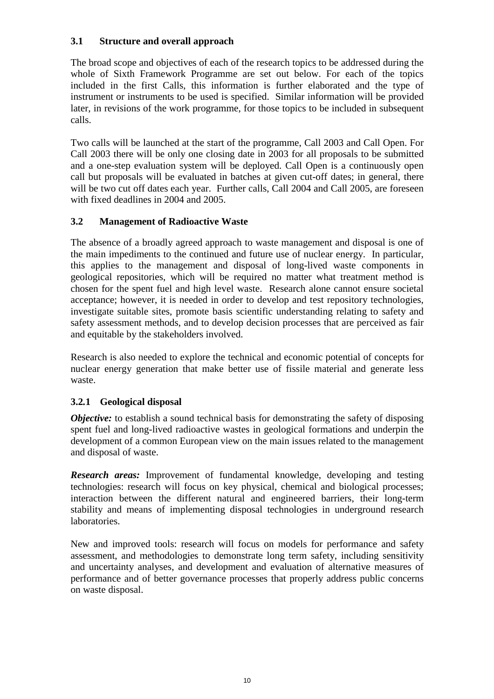## **3.1 Structure and overall approach**

The broad scope and objectives of each of the research topics to be addressed during the whole of Sixth Framework Programme are set out below. For each of the topics included in the first Calls, this information is further elaborated and the type of instrument or instruments to be used is specified. Similar information will be provided later, in revisions of the work programme, for those topics to be included in subsequent calls.

Two calls will be launched at the start of the programme, Call 2003 and Call Open. For Call 2003 there will be only one closing date in 2003 for all proposals to be submitted and a one-step evaluation system will be deployed. Call Open is a continuously open call but proposals will be evaluated in batches at given cut-off dates; in general, there will be two cut off dates each year. Further calls, Call 2004 and Call 2005, are foreseen with fixed deadlines in 2004 and 2005.

## **3.2 Management of Radioactive Waste**

The absence of a broadly agreed approach to waste management and disposal is one of the main impediments to the continued and future use of nuclear energy. In particular, this applies to the management and disposal of long-lived waste components in geological repositories, which will be required no matter what treatment method is chosen for the spent fuel and high level waste. Research alone cannot ensure societal acceptance; however, it is needed in order to develop and test repository technologies, investigate suitable sites, promote basis scientific understanding relating to safety and safety assessment methods, and to develop decision processes that are perceived as fair and equitable by the stakeholders involved.

Research is also needed to explore the technical and economic potential of concepts for nuclear energy generation that make better use of fissile material and generate less waste.

## **3.2***.***1 Geological disposal**

*Objective:* to establish a sound technical basis for demonstrating the safety of disposing spent fuel and long-lived radioactive wastes in geological formations and underpin the development of a common European view on the main issues related to the management and disposal of waste.

*Research areas:* Improvement of fundamental knowledge, developing and testing technologies: research will focus on key physical, chemical and biological processes; interaction between the different natural and engineered barriers, their long-term stability and means of implementing disposal technologies in underground research laboratories.

New and improved tools: research will focus on models for performance and safety assessment, and methodologies to demonstrate long term safety, including sensitivity and uncertainty analyses, and development and evaluation of alternative measures of performance and of better governance processes that properly address public concerns on waste disposal.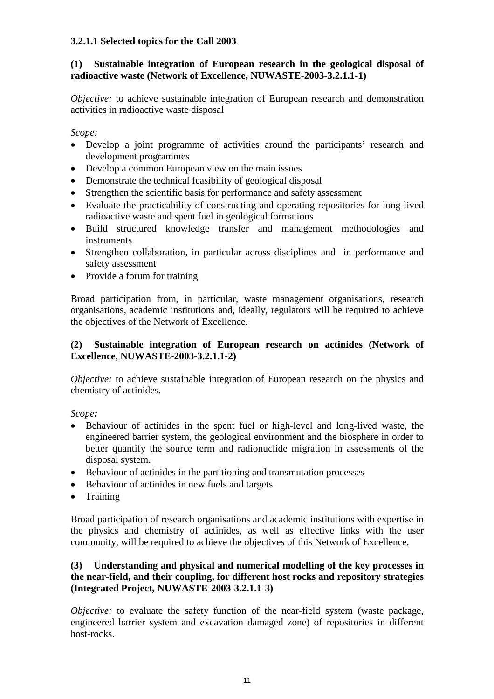## **3.2.1.1 Selected topics for the Call 2003**

## **(1) Sustainable integration of European research in the geological disposal of radioactive waste (Network of Excellence, NUWASTE-2003-3.2.1.1-1)**

*Objective:* to achieve sustainable integration of European research and demonstration activities in radioactive waste disposal

*Scope:* 

- $\bullet$  Develop a joint programme of activities around the participants' research and development programmes
- $\bullet$ Develop a common European view on the main issues
- Demonstrate the technical feasibility of geological disposal
- Strengthen the scientific basis for performance and safety assessment
- Evaluate the practicability of constructing and operating repositories for long-lived radioactive waste and spent fuel in geological formations
- Build structured knowledge transfer and management methodologies and instruments
- Strengthen collaboration, in particular across disciplines and in performance and safety assessment
- Provide a forum for training

Broad participation from, in particular, waste management organisations, research organisations, academic institutions and, ideally, regulators will be required to achieve the objectives of the Network of Excellence.

#### **(2) Sustainable integration of European research on actinides (Network of Excellence, NUWASTE-2003-3.2.1.1-2)**

*Objective:* to achieve sustainable integration of European research on the physics and chemistry of actinides.

*Scope:* 

- $\bullet$  Behaviour of actinides in the spent fuel or high-level and long-lived waste, the engineered barrier system, the geological environment and the biosphere in order to better quantify the source term and radionuclide migration in assessments of the disposal system.
- Behaviour of actinides in the partitioning and transmutation processes
- Behaviour of actinides in new fuels and targets
- $\bullet$ Training

Broad participation of research organisations and academic institutions with expertise in the physics and chemistry of actinides, as well as effective links with the user community, will be required to achieve the objectives of this Network of Excellence.

## **(3) Understanding and physical and numerical modelling of the key processes in the near-field, and their coupling, for different host rocks and repository strategies (Integrated Project, NUWASTE-2003-3.2.1.1-3)**

*Objective:* to evaluate the safety function of the near-field system (waste package, engineered barrier system and excavation damaged zone) of repositories in different host-rocks.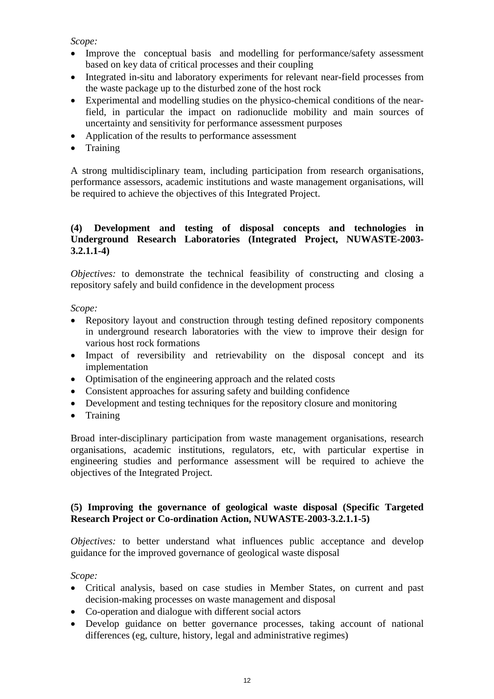## *Scope:*

- $\bullet$  Improve the conceptual basis and modelling for performance/safety assessment based on key data of critical processes and their coupling
- $\bullet$  Integrated in-situ and laboratory experiments for relevant near-field processes from the waste package up to the disturbed zone of the host rock
- $\bullet$  Experimental and modelling studies on the physico-chemical conditions of the nearfield, in particular the impact on radionuclide mobility and main sources of uncertainty and sensitivity for performance assessment purposes
- Application of the results to performance assessment
- Training

A strong multidisciplinary team, including participation from research organisations, performance assessors, academic institutions and waste management organisations, will be required to achieve the objectives of this Integrated Project.

## **(4) Development and testing of disposal concepts and technologies in Underground Research Laboratories (Integrated Project, NUWASTE-2003- 3.2.1.1-4)**

*Objectives:* to demonstrate the technical feasibility of constructing and closing a repository safely and build confidence in the development process

*Scope:* 

- Repository layout and construction through testing defined repository components in underground research laboratories with the view to improve their design for various host rock formations
- Impact of reversibility and retrievability on the disposal concept and its implementation
- Optimisation of the engineering approach and the related costs
- Consistent approaches for assuring safety and building confidence
- Development and testing techniques for the repository closure and monitoring
- $\bullet$ Training

Broad inter-disciplinary participation from waste management organisations, research organisations, academic institutions, regulators, etc, with particular expertise in engineering studies and performance assessment will be required to achieve the objectives of the Integrated Project.

## **(5) Improving the governance of geological waste disposal (Specific Targeted Research Project or Co-ordination Action, NUWASTE-2003-3.2.1.1-5)**

*Objectives:* to better understand what influences public acceptance and develop guidance for the improved governance of geological waste disposal

*Scope:* 

- Critical analysis, based on case studies in Member States, on current and past decision-making processes on waste management and disposal
- Co-operation and dialogue with different social actors
- Develop guidance on better governance processes, taking account of national differences (eg, culture, history, legal and administrative regimes)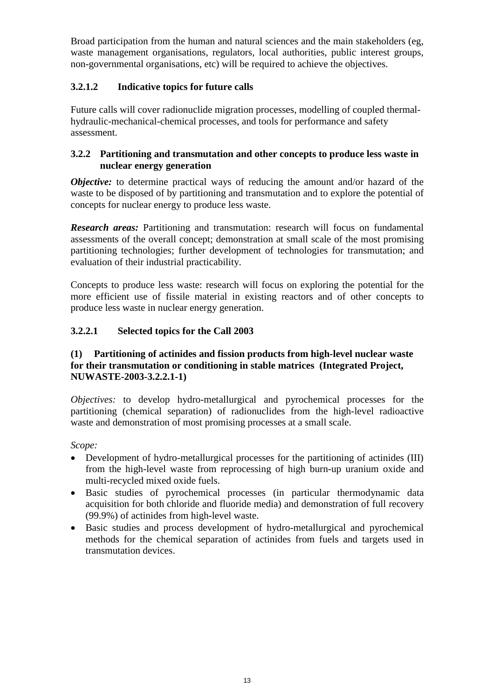Broad participation from the human and natural sciences and the main stakeholders (eg, waste management organisations, regulators, local authorities, public interest groups, non-governmental organisations, etc) will be required to achieve the objectives.

## **3.2.1.2 Indicative topics for future calls**

Future calls will cover radionuclide migration processes, modelling of coupled thermalhydraulic-mechanical-chemical processes, and tools for performance and safety assessment.

## **3.2.2 Partitioning and transmutation and other concepts to produce less waste in nuclear energy generation**

*Objective:* to determine practical ways of reducing the amount and/or hazard of the waste to be disposed of by partitioning and transmutation and to explore the potential of concepts for nuclear energy to produce less waste.

**Research areas:** Partitioning and transmutation: research will focus on fundamental assessments of the overall concept; demonstration at small scale of the most promising partitioning technologies; further development of technologies for transmutation; and evaluation of their industrial practicability.

Concepts to produce less waste: research will focus on exploring the potential for the more efficient use of fissile material in existing reactors and of other concepts to produce less waste in nuclear energy generation.

## **3.2.2.1 Selected topics for the Call 2003**

## **(1) Partitioning of actinides and fission products from high-level nuclear waste for their transmutation or conditioning in stable matrices (Integrated Project, NUWASTE-2003-3.2.2.1-1)**

*Objectives:* to develop hydro-metallurgical and pyrochemical processes for the partitioning (chemical separation) of radionuclides from the high-level radioactive waste and demonstration of most promising processes at a small scale.

*Scope:*

- $\bullet$  Development of hydro-metallurgical processes for the partitioning of actinides (III) from the high-level waste from reprocessing of high burn-up uranium oxide and multi-recycled mixed oxide fuels.
- $\bullet$  Basic studies of pyrochemical processes (in particular thermodynamic data acquisition for both chloride and fluoride media) and demonstration of full recovery (99.9%) of actinides from high-level waste.
- $\bullet$  Basic studies and process development of hydro-metallurgical and pyrochemical methods for the chemical separation of actinides from fuels and targets used in transmutation devices.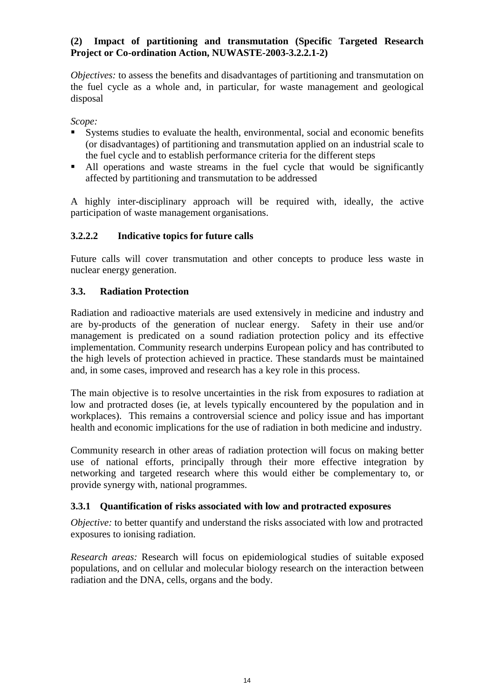## **(2) Impact of partitioning and transmutation (Specific Targeted Research Project or Co-ordination Action, NUWASTE-2003-3.2.2.1-2)**

*Objectives:* to assess the benefits and disadvantages of partitioning and transmutation on the fuel cycle as a whole and, in particular, for waste management and geological disposal

*Scope:*

- -Systems studies to evaluate the health, environmental, social and economic benefits (or disadvantages) of partitioning and transmutation applied on an industrial scale to the fuel cycle and to establish performance criteria for the different steps
- All operations and waste streams in the fuel cycle that would be significantly affected by partitioning and transmutation to be addressed

A highly inter-disciplinary approach will be required with, ideally, the active participation of waste management organisations.

## **3.2.2.2 Indicative topics for future calls**

Future calls will cover transmutation and other concepts to produce less waste in nuclear energy generation.

## **3.3. Radiation Protection**

Radiation and radioactive materials are used extensively in medicine and industry and are by-products of the generation of nuclear energy. Safety in their use and/or management is predicated on a sound radiation protection policy and its effective implementation. Community research underpins European policy and has contributed to the high levels of protection achieved in practice. These standards must be maintained and, in some cases, improved and research has a key role in this process.

The main objective is to resolve uncertainties in the risk from exposures to radiation at low and protracted doses (ie, at levels typically encountered by the population and in workplaces). This remains a controversial science and policy issue and has important health and economic implications for the use of radiation in both medicine and industry.

Community research in other areas of radiation protection will focus on making better use of national efforts, principally through their more effective integration by networking and targeted research where this would either be complementary to, or provide synergy with, national programmes.

## **3.3.1 Quantification of risks associated with low and protracted exposures**

*Objective:* to better quantify and understand the risks associated with low and protracted exposures to ionising radiation.

*Research areas:* Research will focus on epidemiological studies of suitable exposed populations, and on cellular and molecular biology research on the interaction between radiation and the DNA, cells, organs and the body.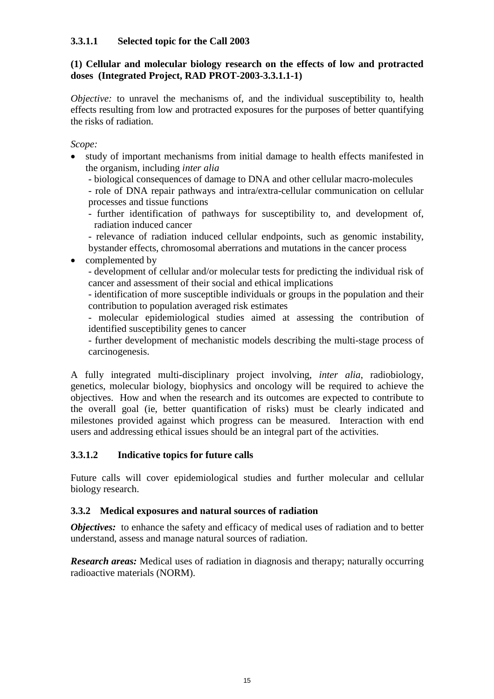## **3.3.1.1 Selected topic for the Call 2003**

## **(1) Cellular and molecular biology research on the effects of low and protracted doses (Integrated Project, RAD PROT-2003-3.3.1.1-1)**

*Objective:* to unravel the mechanisms of, and the individual susceptibility to, health effects resulting from low and protracted exposures for the purposes of better quantifying the risks of radiation.

*Scope:* 

 $\bullet$ 

 $\bullet$  study of important mechanisms from initial damage to health effects manifested in the organism, including *inter alia*

- biological consequences of damage to DNA and other cellular macro-molecules

- role of DNA repair pathways and intra/extra-cellular communication on cellular processes and tissue functions

- further identification of pathways for susceptibility to, and development of, radiation induced cancer

- relevance of radiation induced cellular endpoints, such as genomic instability,

bystander effects, chromosomal aberrations and mutations in the cancer process complemented by

- development of cellular and/or molecular tests for predicting the individual risk of cancer and assessment of their social and ethical implications

- identification of more susceptible individuals or groups in the population and their contribution to population averaged risk estimates

- molecular epidemiological studies aimed at assessing the contribution of identified susceptibility genes to cancer

- further development of mechanistic models describing the multi-stage process of carcinogenesis.

A fully integrated multi-disciplinary project involving, *inter alia*, radiobiology, genetics, molecular biology, biophysics and oncology will be required to achieve the objectives. How and when the research and its outcomes are expected to contribute to the overall goal (ie, better quantification of risks) must be clearly indicated and milestones provided against which progress can be measured. Interaction with end users and addressing ethical issues should be an integral part of the activities.

## **3.3.1.2 Indicative topics for future calls**

Future calls will cover epidemiological studies and further molecular and cellular biology research.

## **3.3.2 Medical exposures and natural sources of radiation**

*Objectives:* to enhance the safety and efficacy of medical uses of radiation and to better understand, assess and manage natural sources of radiation.

*Research areas:* Medical uses of radiation in diagnosis and therapy; naturally occurring radioactive materials (NORM).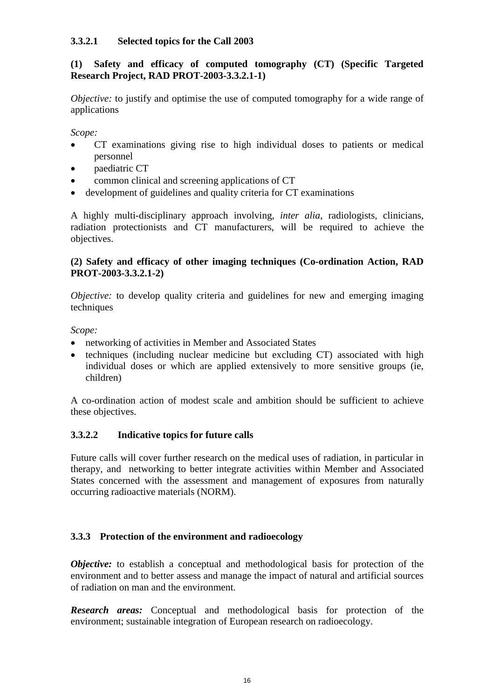## **3.3.2.1 Selected topics for the Call 2003**

## **(1) Safety and efficacy of computed tomography (CT) (Specific Targeted Research Project, RAD PROT-2003-3.3.2.1-1)**

*Objective:* to justify and optimise the use of computed tomography for a wide range of applications

*Scope:* 

- $\bullet$  CT examinations giving rise to high individual doses to patients or medical personnel
- paediatric CT
- common clinical and screening applications of CT
- development of guidelines and quality criteria for CT examinations

A highly multi-disciplinary approach involving, *inter alia*, radiologists, clinicians, radiation protectionists and CT manufacturers, will be required to achieve the objectives.

#### **(2) Safety and efficacy of other imaging techniques (Co-ordination Action, RAD PROT-2003-3.3.2.1-2)**

*Objective:* to develop quality criteria and guidelines for new and emerging imaging techniques

*Scope:* 

- networking of activities in Member and Associated States
- techniques (including nuclear medicine but excluding CT) associated with high individual doses or which are applied extensively to more sensitive groups (ie, children)

A co-ordination action of modest scale and ambition should be sufficient to achieve these objectives.

## **3.3.2.2 Indicative topics for future calls**

Future calls will cover further research on the medical uses of radiation, in particular in therapy, and networking to better integrate activities within Member and Associated States concerned with the assessment and management of exposures from naturally occurring radioactive materials (NORM).

## **3.3.3 Protection of the environment and radioecology**

*Objective:* to establish a conceptual and methodological basis for protection of the environment and to better assess and manage the impact of natural and artificial sources of radiation on man and the environment.

*Research areas:* Conceptual and methodological basis for protection of the environment; sustainable integration of European research on radioecology.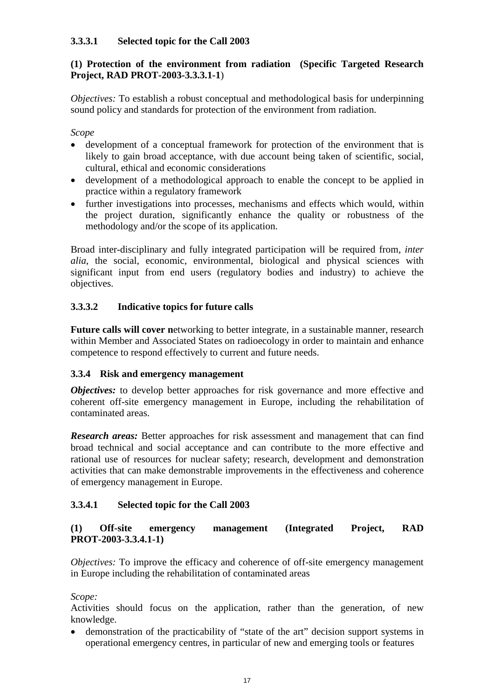## **3.3.3.1 Selected topic for the Call 2003**

## **(1) Protection of the environment from radiation (Specific Targeted Research Project, RAD PROT-2003-3.3.3.1-1**)

*Objectives:* To establish a robust conceptual and methodological basis for underpinning sound policy and standards for protection of the environment from radiation.

*Scope* 

- $\bullet$  development of a conceptual framework for protection of the environment that is likely to gain broad acceptance, with due account being taken of scientific, social, cultural, ethical and economic considerations
- $\bullet$  development of a methodological approach to enable the concept to be applied in practice within a regulatory framework
- $\bullet$  further investigations into processes, mechanisms and effects which would, within the project duration, significantly enhance the quality or robustness of the methodology and/or the scope of its application.

Broad inter-disciplinary and fully integrated participation will be required from, *inter alia*, the social, economic, environmental, biological and physical sciences with significant input from end users (regulatory bodies and industry) to achieve the objectives.

## **3.3.3.2 Indicative topics for future calls**

**Future calls will cover n**etworking to better integrate, in a sustainable manner, research within Member and Associated States on radioecology in order to maintain and enhance competence to respond effectively to current and future needs.

## **3.3.4 Risk and emergency management**

*Objectives:* to develop better approaches for risk governance and more effective and coherent off-site emergency management in Europe, including the rehabilitation of contaminated areas.

*Research areas:* Better approaches for risk assessment and management that can find broad technical and social acceptance and can contribute to the more effective and rational use of resources for nuclear safety; research, development and demonstration activities that can make demonstrable improvements in the effectiveness and coherence of emergency management in Europe.

## **3.3.4.1 Selected topic for the Call 2003**

## **(1) Off-site emergency management (Integrated Project, RAD PROT-2003-3.3.4.1-1)**

*Objectives:* To improve the efficacy and coherence of off-site emergency management in Europe including the rehabilitation of contaminated areas

*Scope:* 

Activities should focus on the application, rather than the generation, of new knowledge.

 $\bullet$  demonstration of the practicability of "state of the art" decision support systems in operational emergency centres, in particular of new and emerging tools or features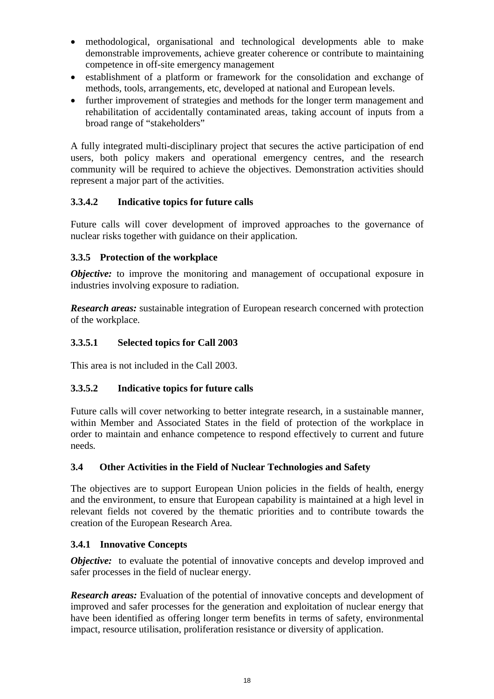- $\bullet$  methodological, organisational and technological developments able to make demonstrable improvements, achieve greater coherence or contribute to maintaining competence in off-site emergency management
- establishment of a platform or framework for the consolidation and exchange of methods, tools, arrangements, etc, developed at national and European levels.
- $\bullet$  further improvement of strategies and methods for the longer term management and rehabilitation of accidentally contaminated areas, taking account of inputs from a broad range of "stakeholders"

A fully integrated multi-disciplinary project that secures the active participation of end users, both policy makers and operational emergency centres, and the research community will be required to achieve the objectives. Demonstration activities should represent a major part of the activities.

## **3.3.4.2 Indicative topics for future calls**

Future calls will cover development of improved approaches to the governance of nuclear risks together with guidance on their application.

## **3.3.5 Protection of the workplace**

*Objective:* to improve the monitoring and management of occupational exposure in industries involving exposure to radiation.

*Research areas:* sustainable integration of European research concerned with protection of the workplace.

## **3.3.5.1 Selected topics for Call 2003**

This area is not included in the Call 2003.

## **3.3.5.2 Indicative topics for future calls**

Future calls will cover networking to better integrate research, in a sustainable manner, within Member and Associated States in the field of protection of the workplace in order to maintain and enhance competence to respond effectively to current and future needs*.* 

## **3.4 Other Activities in the Field of Nuclear Technologies and Safety**

The objectives are to support European Union policies in the fields of health, energy and the environment, to ensure that European capability is maintained at a high level in relevant fields not covered by the thematic priorities and to contribute towards the creation of the European Research Area.

## **3.4.1 Innovative Concepts**

*Objective:* to evaluate the potential of innovative concepts and develop improved and safer processes in the field of nuclear energy.

*Research areas:* Evaluation of the potential of innovative concepts and development of improved and safer processes for the generation and exploitation of nuclear energy that have been identified as offering longer term benefits in terms of safety, environmental impact, resource utilisation, proliferation resistance or diversity of application.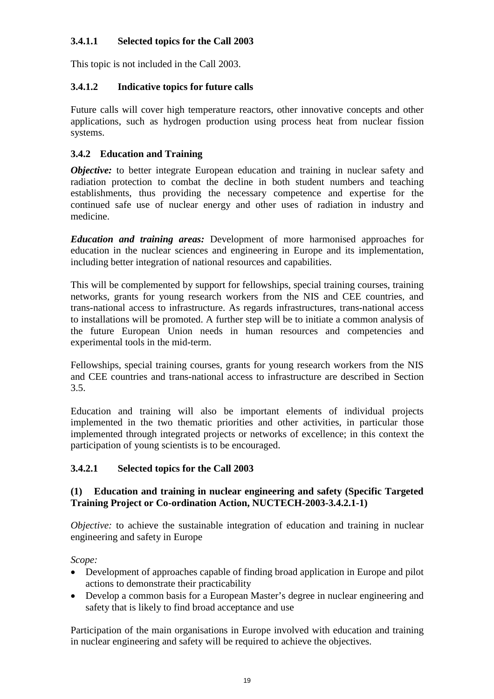## **3.4.1.1 Selected topics for the Call 2003**

This topic is not included in the Call 2003.

## **3.4.1.2 Indicative topics for future calls**

Future calls will cover high temperature reactors, other innovative concepts and other applications, such as hydrogen production using process heat from nuclear fission systems.

## **3.4.2 Education and Training**

*Objective:* to better integrate European education and training in nuclear safety and radiation protection to combat the decline in both student numbers and teaching establishments, thus providing the necessary competence and expertise for the continued safe use of nuclear energy and other uses of radiation in industry and medicine.

*Education and training areas:* Development of more harmonised approaches for education in the nuclear sciences and engineering in Europe and its implementation, including better integration of national resources and capabilities.

This will be complemented by support for fellowships, special training courses, training networks, grants for young research workers from the NIS and CEE countries, and trans-national access to infrastructure. As regards infrastructures, trans-national access to installations will be promoted. A further step will be to initiate a common analysis of the future European Union needs in human resources and competencies and experimental tools in the mid-term.

Fellowships, special training courses, grants for young research workers from the NIS and CEE countries and trans-national access to infrastructure are described in Section 3.5.

Education and training will also be important elements of individual projects implemented in the two thematic priorities and other activities, in particular those implemented through integrated projects or networks of excellence; in this context the participation of young scientists is to be encouraged.

## **3.4.2.1 Selected topics for the Call 2003**

## **(1) Education and training in nuclear engineering and safety (Specific Targeted Training Project or Co-ordination Action, NUCTECH-2003-3.4.2.1-1)**

*Objective:* to achieve the sustainable integration of education and training in nuclear engineering and safety in Europe

*Scope:* 

- Development of approaches capable of finding broad application in Europe and pilot actions to demonstrate their practicability
- $\bullet$  Develop a common basis for a European Master's degree in nuclear engineering and safety that is likely to find broad acceptance and use

Participation of the main organisations in Europe involved with education and training in nuclear engineering and safety will be required to achieve the objectives.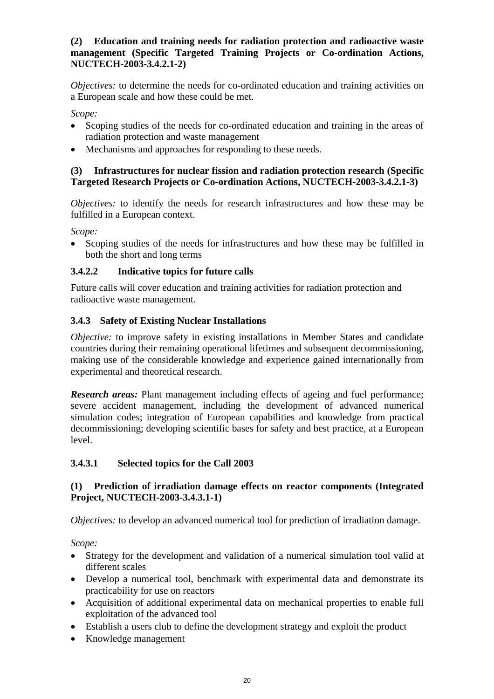## **(2) Education and training needs for radiation protection and radioactive waste management (Specific Targeted Training Projects or Co-ordination Actions, NUCTECH-2003-3.4.2.1-2)**

*Objectives:* to determine the needs for co-ordinated education and training activities on a European scale and how these could be met.

*Scope:* 

- $\bullet$  Scoping studies of the needs for co-ordinated education and training in the areas of radiation protection and waste management
- $\bullet$ Mechanisms and approaches for responding to these needs.

## **(3) Infrastructures for nuclear fission and radiation protection research (Specific Targeted Research Projects or Co-ordination Actions, NUCTECH-2003-3.4.2.1-3)**

*Objectives:* to identify the needs for research infrastructures and how these may be fulfilled in a European context.

*Scope:* 

 $\bullet$  Scoping studies of the needs for infrastructures and how these may be fulfilled in both the short and long terms

## **3.4.2.2 Indicative topics for future calls**

Future calls will cover education and training activities for radiation protection and radioactive waste management.

## **3.4.3 Safety of Existing Nuclear Installations**

*Objective:* to improve safety in existing installations in Member States and candidate countries during their remaining operational lifetimes and subsequent decommissioning, making use of the considerable knowledge and experience gained internationally from experimental and theoretical research.

**Research areas:** Plant management including effects of ageing and fuel performance; severe accident management, including the development of advanced numerical simulation codes; integration of European capabilities and knowledge from practical decommissioning; developing scientific bases for safety and best practice, at a European level.

## **3.4.3.1 Selected topics for the Call 2003**

## **(1) Prediction of irradiation damage effects on reactor components (Integrated Project, NUCTECH-2003-3.4.3.1-1)**

*Objectives:* to develop an advanced numerical tool for prediction of irradiation damage.

*Scope:* 

- Strategy for the development and validation of a numerical simulation tool valid at different scales
- Develop a numerical tool, benchmark with experimental data and demonstrate its practicability for use on reactors
- Acquisition of additional experimental data on mechanical properties to enable full exploitation of the advanced tool
- Establish a users club to define the development strategy and exploit the product
- $\bullet$ Knowledge management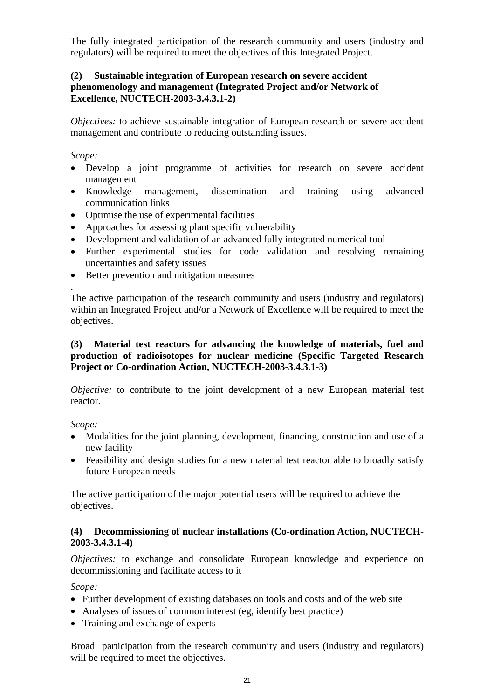The fully integrated participation of the research community and users (industry and regulators) will be required to meet the objectives of this Integrated Project.

## **(2) Sustainable integration of European research on severe accident phenomenology and management (Integrated Project and/or Network of Excellence, NUCTECH-2003-3.4.3.1-2)**

*Objectives:* to achieve sustainable integration of European research on severe accident management and contribute to reducing outstanding issues.

*Scope:* 

- Develop a joint programme of activities for research on severe accident management
- Knowledge management, dissemination and training using advanced communication links
- Optimise the use of experimental facilities
- Approaches for assessing plant specific vulnerability
- Development and validation of an advanced fully integrated numerical tool
- Further experimental studies for code validation and resolving remaining uncertainties and safety issues
- Better prevention and mitigation measures

. The active participation of the research community and users (industry and regulators) within an Integrated Project and/or a Network of Excellence will be required to meet the objectives.

## **(3) Material test reactors for advancing the knowledge of materials, fuel and production of radioisotopes for nuclear medicine (Specific Targeted Research Project or Co-ordination Action, NUCTECH-2003-3.4.3.1-3)**

*Objective:* to contribute to the joint development of a new European material test reactor.

*Scope:* 

- - Modalities for the joint planning, development, financing, construction and use of a new facility
- Feasibility and design studies for a new material test reactor able to broadly satisfy future European needs

The active participation of the major potential users will be required to achieve the objectives.

## **(4) Decommissioning of nuclear installations (Co-ordination Action, NUCTECH-2003-3.4.3.1-4)**

*Objectives: to exchange and consolidate European knowledge and experience on* decommissioning and facilitate access to it

*Scope:*

- Further development of existing databases on tools and costs and of the web site
- Analyses of issues of common interest (eg, identify best practice)
- Training and exchange of experts

Broad participation from the research community and users (industry and regulators) will be required to meet the objectives.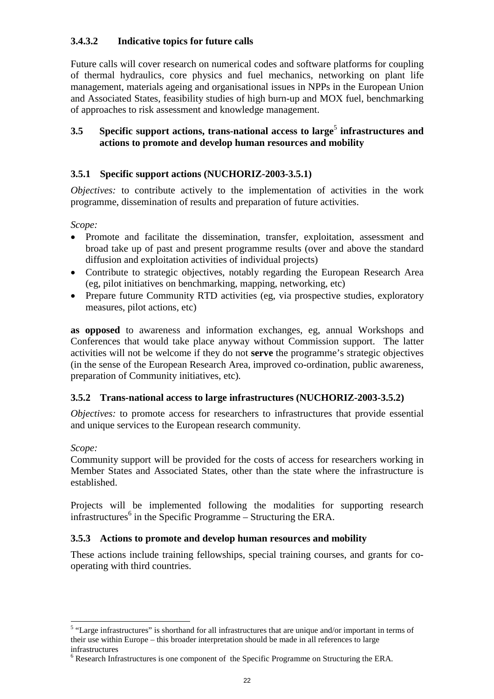## **3.4.3.2 Indicative topics for future calls**

Future calls will cover research on numerical codes and software platforms for coupling of thermal hydraulics, core physics and fuel mechanics, networking on plant life management, materials ageing and organisational issues in NPPs in the European Union and Associated States, feasibility studies of high burn-up and MOX fuel, benchmarking of approaches to risk assessment and knowledge management.

## **3.5** Specific support actions, trans-national access to large<sup>5</sup> infrastructures and **actions to promote and develop human resources and mobility**

## **3.5.1 Specific support actions (NUCHORIZ-2003-3.5.1)**

*Objectives:* to contribute actively to the implementation of activities in the work programme, dissemination of results and preparation of future activities.

*Scope:* 

- Promote and facilitate the dissemination, transfer, exploitation, assessment and broad take up of past and present programme results (over and above the standard diffusion and exploitation activities of individual projects)
- Contribute to strategic objectives, notably regarding the European Research Area (eg, pilot initiatives on benchmarking, mapping, networking, etc)
- Prepare future Community RTD activities (eg, via prospective studies, exploratory measures, pilot actions, etc)

**as opposed** to awareness and information exchanges, eg, annual Workshops and Conferences that would take place anyway without Commission support. The latter activities will not be welcome if they do not **serve** the programme's strategic objectives (in the sense of the European Research Area, improved co-ordination, public awareness, preparation of Community initiatives, etc)*.* 

## **3.5.2 Trans-national access to large infrastructures (NUCHORIZ-2003-3.5.2)**

*Objectives:* to promote access for researchers to infrastructures that provide essential and unique services to the European research community.

## *Scope:*

Community support will be provided for the costs of access for researchers working in Member States and Associated States, other than the state where the infrastructure is established.

Projects will be implemented following the modalities for supporting research infrastructures<sup>6</sup> in the Specific Programme – Structuring the ERA.

## **3.5.3 Actions to promote and develop human resources and mobility**

These actions include training fellowships, special training courses, and grants for cooperating with third countries.

<sup>&</sup>lt;sup>5</sup> "Large infrastructures" is shorthand for all infrastructures that are unique and/or important in terms of their use within Europe – this broader interpretation should be made in all references to large infrastructures

 $6$  Research Infrastructures is one component of the Specific Programme on Structuring the ERA.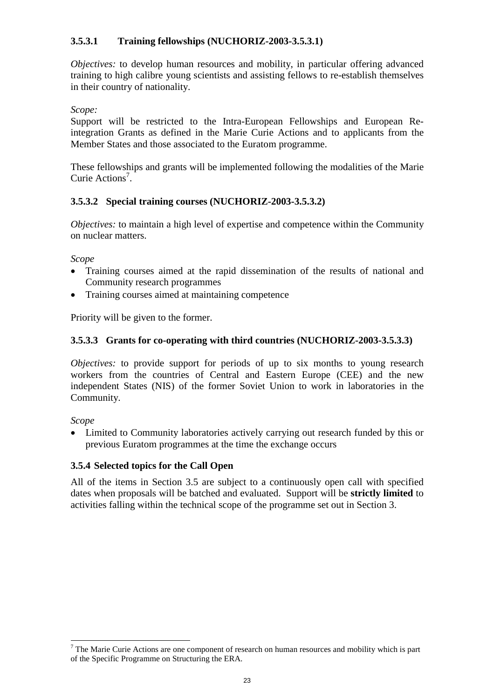## **3.5.3.1 Training fellowships (NUCHORIZ-2003-3.5.3.1)**

*Objectives:* to develop human resources and mobility, in particular offering advanced training to high calibre young scientists and assisting fellows to re-establish themselves in their country of nationality.

#### *Scope:*

Support will be restricted to the Intra-European Fellowships and European Reintegration Grants as defined in the Marie Curie Actions and to applicants from the Member States and those associated to the Euratom programme.

These fellowships and grants will be implemented following the modalities of the Marie Curie Actions<sup>7</sup>.

## **3.5.3.2 Special training courses (NUCHORIZ-2003-3.5.3.2)**

*Objectives:* to maintain a high level of expertise and competence within the Community on nuclear matters.

*Scope* 

- $\bullet$  Training courses aimed at the rapid dissemination of the results of national and Community research programmes
- $\bullet$ Training courses aimed at maintaining competence

Priority will be given to the former.

## **3.5.3.3 Grants for co-operating with third countries (NUCHORIZ-2003-3.5.3.3)**

*Objectives:* to provide support for periods of up to six months to young research workers from the countries of Central and Eastern Europe (CEE) and the new independent States (NIS) of the former Soviet Union to work in laboratories in the Community.

*Scope*

l

- Limited to Community laboratories actively carrying out research funded by this or previous Euratom programmes at the time the exchange occurs

## **3.5.4 Selected topics for the Call Open**

All of the items in Section 3.5 are subject to a continuously open call with specified dates when proposals will be batched and evaluated. Support will be **strictly limited** to activities falling within the technical scope of the programme set out in Section 3.

 $<sup>7</sup>$  The Marie Curie Actions are one component of research on human resources and mobility which is part</sup> of the Specific Programme on Structuring the ERA.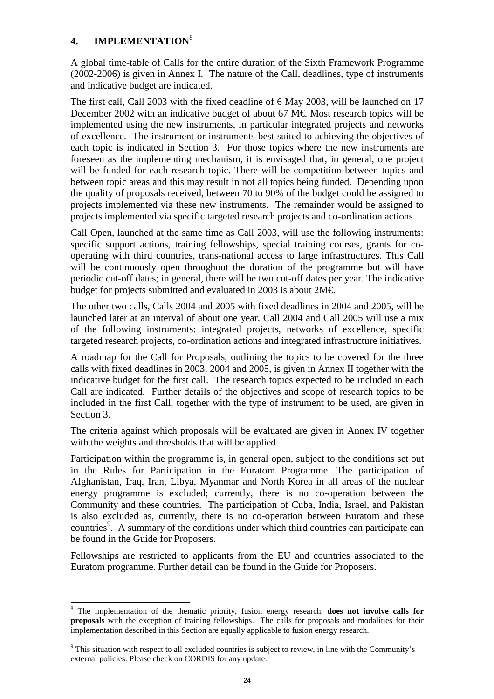## **4. IMPLEMENTATION**<sup>8</sup>

A global time-table of Calls for the entire duration of the Sixth Framework Programme (2002-2006) is given in Annex I. The nature of the Call, deadlines, type of instruments and indicative budget are indicated.

The first call, Call 2003 with the fixed deadline of 6 May 2003, will be launched on 17 December 2002 with an indicative budget of about 67 M $\epsilon$  Most research topics will be implemented using the new instruments, in particular integrated projects and networks of excellence. The instrument or instruments best suited to achieving the objectives of each topic is indicated in Section 3. For those topics where the new instruments are foreseen as the implementing mechanism, it is envisaged that, in general, one project will be funded for each research topic. There will be competition between topics and between topic areas and this may result in not all topics being funded. Depending upon the quality of proposals received, between 70 to 90% of the budget could be assigned to projects implemented via these new instruments. The remainder would be assigned to projects implemented via specific targeted research projects and co-ordination actions.

Call Open, launched at the same time as Call 2003, will use the following instruments: specific support actions, training fellowships, special training courses, grants for cooperating with third countries, trans-national access to large infrastructures. This Call will be continuously open throughout the duration of the programme but will have periodic cut-off dates; in general, there will be two cut-off dates per year. The indicative budget for projects submitted and evaluated in 2003 is about  $2M \in$ .

The other two calls, Calls 2004 and 2005 with fixed deadlines in 2004 and 2005, will be launched later at an interval of about one year. Call 2004 and Call 2005 will use a mix of the following instruments: integrated projects, networks of excellence, specific targeted research projects, co-ordination actions and integrated infrastructure initiatives.

A roadmap for the Call for Proposals, outlining the topics to be covered for the three calls with fixed deadlines in 2003, 2004 and 2005, is given in Annex II together with the indicative budget for the first call. The research topics expected to be included in each Call are indicated. Further details of the objectives and scope of research topics to be included in the first Call, together with the type of instrument to be used, are given in Section 3.

The criteria against which proposals will be evaluated are given in Annex IV together with the weights and thresholds that will be applied.

Participation within the programme is, in general open, subject to the conditions set out in the Rules for Participation in the Euratom Programme. The participation of Afghanistan, Iraq, Iran, Libya, Myanmar and North Korea in all areas of the nuclear energy programme is excluded; currently, there is no co-operation between the Community and these countries. The participation of Cuba, India, Israel, and Pakistan is also excluded as, currently, there is no co-operation between Euratom and these countries<sup>9</sup>. A summary of the conditions under which third countries can participate can be found in the Guide for Proposers.

Fellowships are restricted to applicants from the EU and countries associated to the Euratom programme. Further detail can be found in the Guide for Proposers.

<sup>&</sup>lt;sup>8</sup> The implementation of the thematic priority, fusion energy research, **does not involve calls for proposals** with the exception of training fellowships. The calls for proposals and modalities for their implementation described in this Section are equally applicable to fusion energy research.

 $9$  This situation with respect to all excluded countries is subject to review, in line with the Community's external policies. Please check on CORDIS for any update.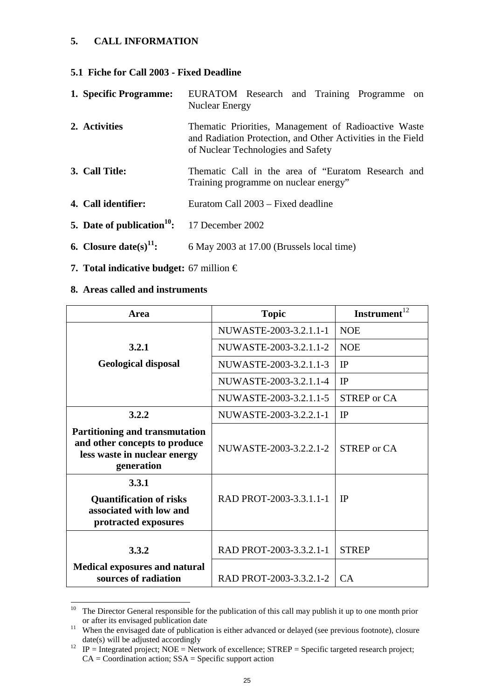## **5. CALL INFORMATION**

#### **5.1 Fiche for Call 2003 - Fixed Deadline**

| 1. Specific Programme:             | EURATOM Research and Training Programme on<br><b>Nuclear Energy</b>                                                                                       |
|------------------------------------|-----------------------------------------------------------------------------------------------------------------------------------------------------------|
| 2. Activities                      | Thematic Priorities, Management of Radioactive Waste<br>and Radiation Protection, and Other Activities in the Field<br>of Nuclear Technologies and Safety |
| 3. Call Title:                     | Thematic Call in the area of "Euratom Research and<br>Training programme on nuclear energy"                                                               |
| 4. Call identifier:                | Euratom Call 2003 – Fixed deadline                                                                                                                        |
| 5. Date of publication $10$ :      | 17 December 2002                                                                                                                                          |
| 6. Closure date(s) <sup>11</sup> : | 6 May 2003 at 17.00 (Brussels local time)                                                                                                                 |

**7. Total indicative budget:** 67 million €

#### **8. Areas called and instruments**

l

| Area                                                                                                                 | <b>Topic</b>            | <b>Instrument</b>  |
|----------------------------------------------------------------------------------------------------------------------|-------------------------|--------------------|
|                                                                                                                      | NUWASTE-2003-3.2.1.1-1  | <b>NOE</b>         |
| 3.2.1                                                                                                                | NUWASTE-2003-3.2.1.1-2  | <b>NOE</b>         |
| <b>Geological disposal</b>                                                                                           | NUWASTE-2003-3.2.1.1-3  | <b>IP</b>          |
|                                                                                                                      | NUWASTE-2003-3.2.1.1-4  | IP                 |
|                                                                                                                      | NUWASTE-2003-3.2.1.1-5  | <b>STREP</b> or CA |
| 3.2.2                                                                                                                | NUWASTE-2003-3.2.2.1-1  | IP                 |
| <b>Partitioning and transmutation</b><br>and other concepts to produce<br>less waste in nuclear energy<br>generation | NUWASTE-2003-3.2.2.1-2  | STREP or CA        |
| 3.3.1<br><b>Quantification of risks</b><br>associated with low and<br>protracted exposures                           | RAD PROT-2003-3.3.1.1-1 | <b>IP</b>          |
| 3.3.2                                                                                                                | RAD PROT-2003-3.3.2.1-1 | <b>STREP</b>       |
| <b>Medical exposures and natural</b><br>sources of radiation                                                         | RAD PROT-2003-3.3.2.1-2 | <b>CA</b>          |

<sup>&</sup>lt;sup>10</sup> The Director General responsible for the publication of this call may publish it up to one month prior

or after its envisaged publication date<br>
<sup>11</sup> When the envisaged date of publication is either advanced or delayed (see previous footnote), closure<br>
date(s) will be adjusted accordingly

 $dP = \text{Integrated project; NOE} = \text{Network of excellent; STREP} = \text{Specific targeted research project; }$  $CA = Coordination action; SSA = Specific support action$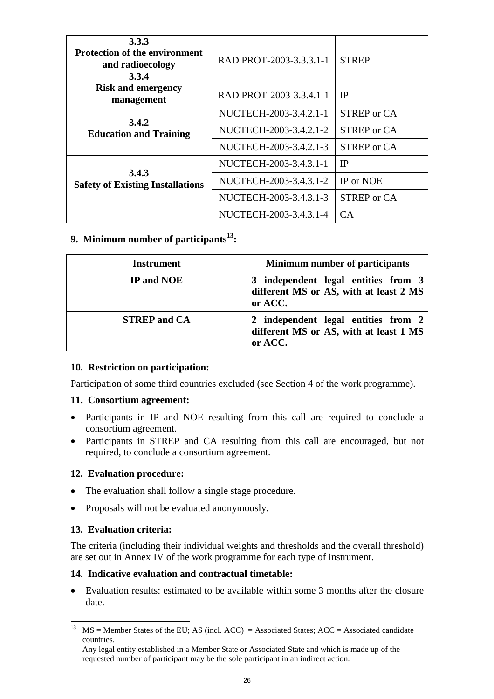| 3.3.3<br><b>Protection of the environment</b> |                         |                    |
|-----------------------------------------------|-------------------------|--------------------|
| and radioecology                              | RAD PROT-2003-3.3.3.1-1 | <b>STREP</b>       |
| 3.3.4                                         |                         |                    |
| <b>Risk and emergency</b><br>management       | RAD PROT-2003-3.3.4.1-1 | <b>IP</b>          |
|                                               | NUCTECH-2003-3.4.2.1-1  | <b>STREP</b> or CA |
| 3.4.2<br><b>Education and Training</b>        | NUCTECH-2003-3.4.2.1-2  | <b>STREP</b> or CA |
|                                               | NUCTECH-2003-3.4.2.1-3  | <b>STREP</b> or CA |
| 3.4.3                                         | NUCTECH-2003-3.4.3.1-1  | <b>IP</b>          |
| <b>Safety of Existing Installations</b>       | NUCTECH-2003-3.4.3.1-2  | IP or NOE          |
|                                               | NUCTECH-2003-3.4.3.1-3  | <b>STREP</b> or CA |
|                                               | NUCTECH-2003-3.4.3.1-4  | <b>CA</b>          |

## **9. Minimum number of participants**<sup>13</sup>:

| <b>Instrument</b>   | <b>Minimum number of participants</b>                                                                  |
|---------------------|--------------------------------------------------------------------------------------------------------|
| IP and NOE          | independent legal entities from 3<br>3<br>different MS or AS, with at least 2 MS<br>or ACC.            |
| <b>STREP</b> and CA | independent legal entities from 2<br><sup>2</sup><br>different MS or AS, with at least 1 MS<br>or ACC. |

## **10. Restriction on participation:**

Participation of some third countries excluded (see Section 4 of the work programme).

#### **11. Consortium agreement:**

- - Participants in IP and NOE resulting from this call are required to conclude a consortium agreement.
- $\bullet$  Participants in STREP and CA resulting from this call are encouraged, but not required, to conclude a consortium agreement.

## **12. Evaluation procedure:**

- $\bullet$ The evaluation shall follow a single stage procedure.
- $\bullet$ Proposals will not be evaluated anonymously.

#### **13. Evaluation criteria:**

The criteria (including their individual weights and thresholds and the overall threshold) are set out in Annex IV of the work programme for each type of instrument.

#### **14. Indicative evaluation and contractual timetable:**

 $\bullet$  Evaluation results: estimated to be available within some 3 months after the closure date.

l <sup>13</sup> MS = Member States of the EU; AS (incl. ACC) = Associated States; ACC = Associated candidate countries.

Any legal entity established in a Member State or Associated State and which is made up of the requested number of participant may be the sole participant in an indirect action.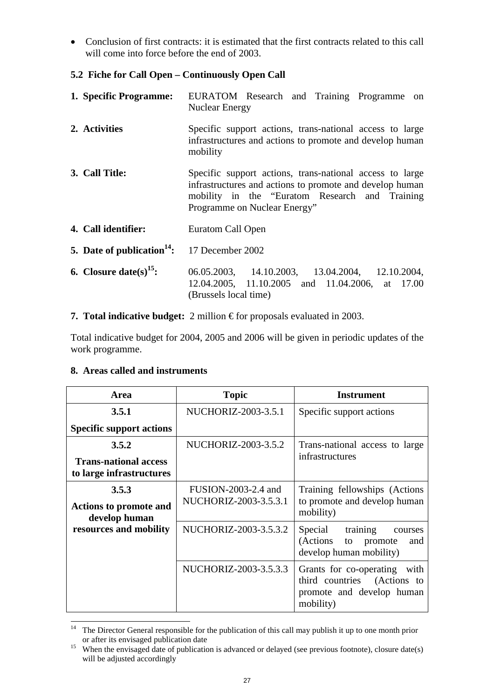- Conclusion of first contracts: it is estimated that the first contracts related to this call will come into force before the end of 2003.

## **5.2 Fiche for Call Open – Continuously Open Call**

- **1. Specific Programme:** EURATOM Research and Training Programme on Nuclear Energy **2. Activities** Specific support actions, trans-national access to large infrastructures and actions to promote and develop human mobility **3. Call Title:** Specific support actions, trans-national access to large infrastructures and actions to promote and develop human mobility in the "Euratom Research and Training Programme on Nuclear Energy" **4. Call identifier:** Euratom Call Open **5. Date of publication<sup>14</sup>:** 17 December 2002 **6. Closure date(s)15:** 06.05.2003, 14.10.2003, 13.04.2004, 12.10.2004, 12.04.2005, 11.10.2005 and 11.04.2006, at 17.00 (Brussels local time)
- **7. Total indicative budget:** 2 million € for proposals evaluated in 2003.

Total indicative budget for 2004, 2005 and 2006 will be given in periodic updates of the work programme.

## **8. Areas called and instruments**

| Area                                                     | <b>Topic</b>                                 | <b>Instrument</b>                                                                                           |
|----------------------------------------------------------|----------------------------------------------|-------------------------------------------------------------------------------------------------------------|
| 3.5.1                                                    | NUCHORIZ-2003-3.5.1                          | Specific support actions                                                                                    |
| <b>Specific support actions</b>                          |                                              |                                                                                                             |
| 3.5.2                                                    | NUCHORIZ-2003-3.5.2                          | Trans-national access to large                                                                              |
| <b>Trans-national access</b><br>to large infrastructures |                                              | infrastructures                                                                                             |
| 3.5.3<br><b>Actions to promote and</b><br>develop human  | FUSION-2003-2.4 and<br>NUCHORIZ-2003-3.5.3.1 | Training fellowships (Actions<br>to promote and develop human<br>mobility)                                  |
| resources and mobility                                   | NUCHORIZ-2003-3.5.3.2                        | Special<br>training<br>courses<br>(Actions<br>to promote<br>and<br>develop human mobility)                  |
|                                                          | NUCHORIZ-2003-3.5.3.3                        | Grants for co-operating<br>with<br>third countries<br>(Actions to<br>promote and develop human<br>mobility) |

l <sup>14</sup> The Director General responsible for the publication of this call may publish it up to one month prior or after its envisaged publication date<br><sup>15</sup> When the envisaged date of publication is advanced or delayed (see previous footnote), closure date(s)

will be adjusted accordingly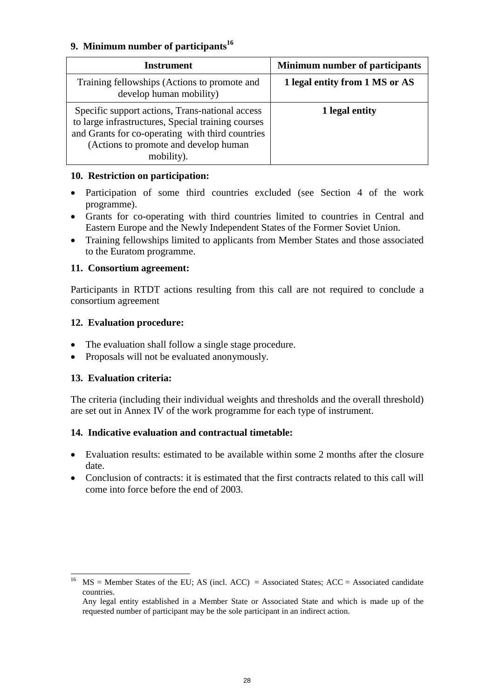## **9. Minimum number of participants**<sup>16</sup>

| Instrument                                                                                                                                                                                                        | Minimum number of participants |
|-------------------------------------------------------------------------------------------------------------------------------------------------------------------------------------------------------------------|--------------------------------|
| Training fellowships (Actions to promote and<br>develop human mobility)                                                                                                                                           | 1 legal entity from 1 MS or AS |
| Specific support actions, Trans-national access<br>to large infrastructures, Special training courses<br>and Grants for co-operating with third countries<br>(Actions to promote and develop human)<br>mobility). | 1 legal entity                 |

## **10. Restriction on participation:**

- $\bullet$  Participation of some third countries excluded (see Section 4 of the work programme).
- Grants for co-operating with third countries limited to countries in Central and Eastern Europe and the Newly Independent States of the Former Soviet Union.
- $\bullet$  Training fellowships limited to applicants from Member States and those associated to the Euratom programme.

## **11. Consortium agreement:**

Participants in RTDT actions resulting from this call are not required to conclude a consortium agreement

## **12. Evaluation procedure:**

- -The evaluation shall follow a single stage procedure.
- $\bullet$ Proposals will not be evaluated anonymously.

## **13. Evaluation criteria:**

l

The criteria (including their individual weights and thresholds and the overall threshold) are set out in Annex IV of the work programme for each type of instrument.

## **14. Indicative evaluation and contractual timetable:**

- $\bullet$  Evaluation results: estimated to be available within some 2 months after the closure date.
- - Conclusion of contracts: it is estimated that the first contracts related to this call will come into force before the end of 2003.

<sup>&</sup>lt;sup>16</sup> MS = Member States of the EU; AS (incl. ACC) = Associated States; ACC = Associated candidate countries.

Any legal entity established in a Member State or Associated State and which is made up of the requested number of participant may be the sole participant in an indirect action.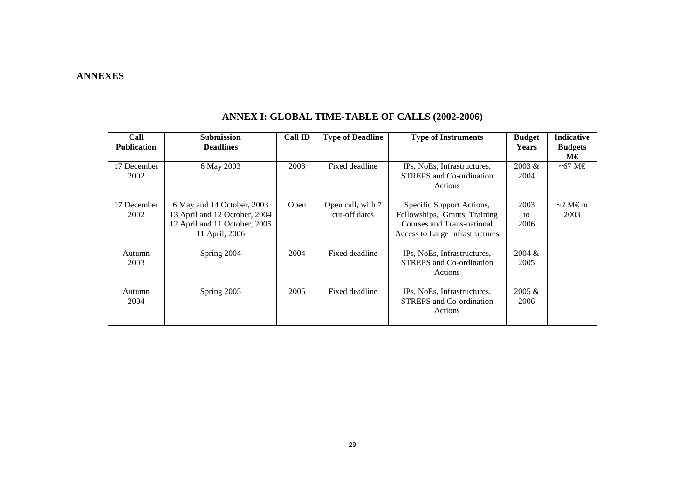#### **ANNEXES**

| Call<br><b>Publication</b> | <b>Submission</b><br><b>Deadlines</b> | <b>Call ID</b> | <b>Type of Deadline</b> | <b>Type of Instruments</b>                                     | <b>Budget</b><br><b>Years</b> | <b>Indicative</b><br><b>Budgets</b> |
|----------------------------|---------------------------------------|----------------|-------------------------|----------------------------------------------------------------|-------------------------------|-------------------------------------|
|                            |                                       |                |                         |                                                                |                               | М€                                  |
| 17 December<br>2002        | 6 May 2003                            | 2003           | Fixed deadline          | IPs, NoEs, Infrastructures,<br><b>STREPS</b> and Co-ordination | 2003 &<br>2004                | $~10^{-67}$ M $\in$                 |
|                            |                                       |                |                         | Actions                                                        |                               |                                     |
|                            |                                       |                |                         |                                                                |                               |                                     |
| 17 December                | 6 May and 14 October, 2003            | Open           | Open call, with 7       | Specific Support Actions,                                      | 2003                          | $\sim$ 2 M $\in$ in                 |
| 2002                       | 13 April and 12 October, 2004         |                | cut-off dates           | Fellowships, Grants, Training                                  | to                            | 2003                                |
|                            | 12 April and 11 October, 2005         |                |                         | Courses and Trans-national                                     | 2006                          |                                     |
|                            | 11 April, 2006                        |                |                         | Access to Large Infrastructures                                |                               |                                     |
| Autumn                     | Spring 2004                           | 2004           | Fixed deadline          | IPs, NoEs, Infrastructures,                                    | 2004 &                        |                                     |
| 2003                       |                                       |                |                         | <b>STREPS</b> and Co-ordination                                | 2005                          |                                     |
|                            |                                       |                |                         | Actions                                                        |                               |                                     |
| Autumn                     | Spring 2005                           | 2005           | Fixed deadline          | IPs, NoEs, Infrastructures,                                    | 2005 &                        |                                     |
| 2004                       |                                       |                |                         | <b>STREPS</b> and Co-ordination                                | 2006                          |                                     |
|                            |                                       |                |                         | Actions                                                        |                               |                                     |
|                            |                                       |                |                         |                                                                |                               |                                     |

## **ANNEX I: GLOBAL TIME-TABLE OF CALLS (2002-2006)**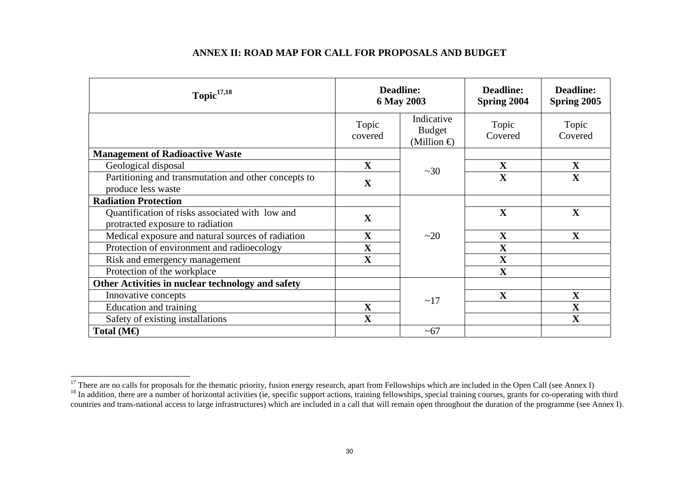#### **ANNEX II: ROAD MAP FOR CALL FOR PROPOSALS AND BUDGET**

| Topic $17,18$                                                                       | <b>Deadline:</b><br>6 May 2003 |                                                  | <b>Deadline:</b><br>Spring 2004 | <b>Deadline:</b><br>Spring 2005 |
|-------------------------------------------------------------------------------------|--------------------------------|--------------------------------------------------|---------------------------------|---------------------------------|
|                                                                                     | Topic<br>covered               | Indicative<br><b>Budget</b><br>(Million $\oplus$ | Topic<br>Covered                | Topic<br>Covered                |
| <b>Management of Radioactive Waste</b>                                              |                                |                                                  |                                 |                                 |
| Geological disposal                                                                 | $\mathbf X$                    | ~20                                              | $\mathbf X$                     | $\mathbf X$                     |
| Partitioning and transmutation and other concepts to<br>produce less waste          | $\mathbf X$                    |                                                  | $\mathbf X$                     | $\mathbf X$                     |
| <b>Radiation Protection</b>                                                         |                                |                                                  |                                 |                                 |
| Quantification of risks associated with low and<br>protracted exposure to radiation | $\mathbf X$                    |                                                  | X                               | $\mathbf X$                     |
| Medical exposure and natural sources of radiation                                   | $\mathbf X$                    | $\sim$ 20                                        | $\mathbf X$                     | $\mathbf X$                     |
| Protection of environment and radioecology                                          | $\mathbf X$                    |                                                  | $\mathbf X$                     |                                 |
| Risk and emergency management                                                       | $\mathbf X$                    |                                                  | $\mathbf X$                     |                                 |
| Protection of the workplace                                                         |                                |                                                  | $\mathbf X$                     |                                 |
| Other Activities in nuclear technology and safety                                   |                                |                                                  |                                 |                                 |
| Innovative concepts                                                                 |                                | ~17                                              | $\mathbf X$                     | $\mathbf X$                     |
| Education and training                                                              | $\mathbf X$                    |                                                  |                                 | $\mathbf X$                     |
| Safety of existing installations                                                    | $\mathbf X$                    |                                                  |                                 | $\mathbf X$                     |
| Total ( $M\oplus$                                                                   |                                | $~1$ –67                                         |                                 |                                 |

<sup>&</sup>lt;sup>17</sup> There are no calls for proposals for the thematic priority, fusion energy research, apart from Fellowships which are included in the Open Call (see Annex I)

<sup>&</sup>lt;sup>18</sup> In addition, there are a number of horizontal activities (ie, specific support actions, training fellowships, special training courses, grants for co-operating with third countries and trans-national access to large infrastructures) which are included in a call that will remain open throughout the duration of the programme (see Annex I).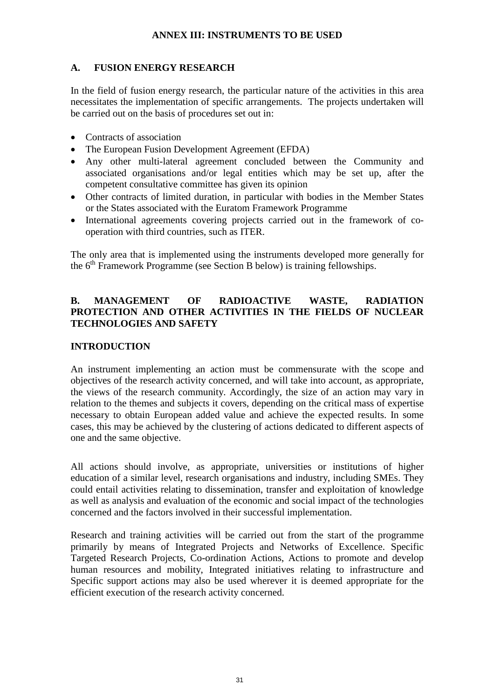#### **ANNEX III: INSTRUMENTS TO BE USED**

## **A. FUSION ENERGY RESEARCH**

In the field of fusion energy research, the particular nature of the activities in this area necessitates the implementation of specific arrangements. The projects undertaken will be carried out on the basis of procedures set out in:

- -Contracts of association
- $\bullet$ The European Fusion Development Agreement (EFDA)
- Any other multi-lateral agreement concluded between the Community and associated organisations and/or legal entities which may be set up, after the competent consultative committee has given its opinion
- Other contracts of limited duration, in particular with bodies in the Member States or the States associated with the Euratom Framework Programme
- $\bullet$  International agreements covering projects carried out in the framework of cooperation with third countries, such as ITER.

The only area that is implemented using the instruments developed more generally for the 6<sup>th</sup> Framework Programme (see Section B below) is training fellowships.

## **B. MANAGEMENT OF RADIOACTIVE WASTE, RADIATION PROTECTION AND OTHER ACTIVITIES IN THE FIELDS OF NUCLEAR TECHNOLOGIES AND SAFETY**

#### **INTRODUCTION**

An instrument implementing an action must be commensurate with the scope and objectives of the research activity concerned, and will take into account, as appropriate, the views of the research community. Accordingly, the size of an action may vary in relation to the themes and subjects it covers, depending on the critical mass of expertise necessary to obtain European added value and achieve the expected results. In some cases, this may be achieved by the clustering of actions dedicated to different aspects of one and the same objective.

All actions should involve, as appropriate, universities or institutions of higher education of a similar level, research organisations and industry, including SMEs. They could entail activities relating to dissemination, transfer and exploitation of knowledge as well as analysis and evaluation of the economic and social impact of the technologies concerned and the factors involved in their successful implementation.

Research and training activities will be carried out from the start of the programme primarily by means of Integrated Projects and Networks of Excellence. Specific Targeted Research Projects, Co-ordination Actions, Actions to promote and develop human resources and mobility, Integrated initiatives relating to infrastructure and Specific support actions may also be used wherever it is deemed appropriate for the efficient execution of the research activity concerned.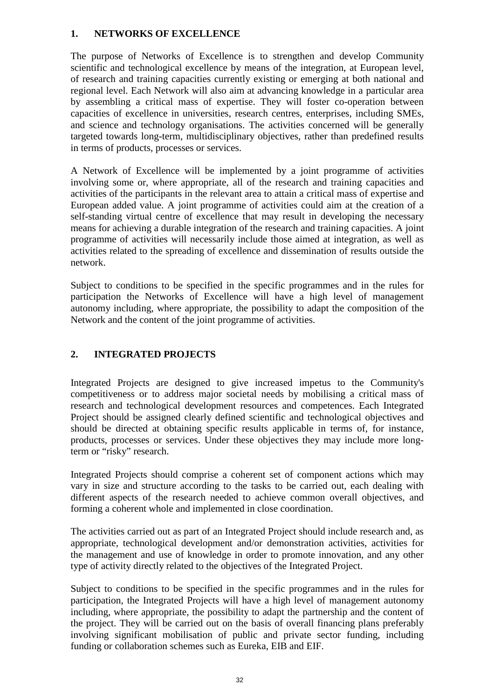#### **1. NETWORKS OF EXCELLENCE**

The purpose of Networks of Excellence is to strengthen and develop Community scientific and technological excellence by means of the integration, at European level, of research and training capacities currently existing or emerging at both national and regional level. Each Network will also aim at advancing knowledge in a particular area by assembling a critical mass of expertise. They will foster co-operation between capacities of excellence in universities, research centres, enterprises, including SMEs, and science and technology organisations. The activities concerned will be generally targeted towards long-term, multidisciplinary objectives, rather than predefined results in terms of products, processes or services.

A Network of Excellence will be implemented by a joint programme of activities involving some or, where appropriate, all of the research and training capacities and activities of the participants in the relevant area to attain a critical mass of expertise and European added value. A joint programme of activities could aim at the creation of a self-standing virtual centre of excellence that may result in developing the necessary means for achieving a durable integration of the research and training capacities. A joint programme of activities will necessarily include those aimed at integration, as well as activities related to the spreading of excellence and dissemination of results outside the network.

Subject to conditions to be specified in the specific programmes and in the rules for participation the Networks of Excellence will have a high level of management autonomy including, where appropriate, the possibility to adapt the composition of the Network and the content of the joint programme of activities.

## **2. INTEGRATED PROJECTS**

Integrated Projects are designed to give increased impetus to the Community's competitiveness or to address major societal needs by mobilising a critical mass of research and technological development resources and competences. Each Integrated Project should be assigned clearly defined scientific and technological objectives and should be directed at obtaining specific results applicable in terms of, for instance, products, processes or services. Under these objectives they may include more longterm or "risky" research.

Integrated Projects should comprise a coherent set of component actions which may vary in size and structure according to the tasks to be carried out, each dealing with different aspects of the research needed to achieve common overall objectives, and forming a coherent whole and implemented in close coordination.

The activities carried out as part of an Integrated Project should include research and, as appropriate, technological development and/or demonstration activities, activities for the management and use of knowledge in order to promote innovation, and any other type of activity directly related to the objectives of the Integrated Project.

Subject to conditions to be specified in the specific programmes and in the rules for participation, the Integrated Projects will have a high level of management autonomy including, where appropriate, the possibility to adapt the partnership and the content of the project. They will be carried out on the basis of overall financing plans preferably involving significant mobilisation of public and private sector funding, including funding or collaboration schemes such as Eureka, EIB and EIF.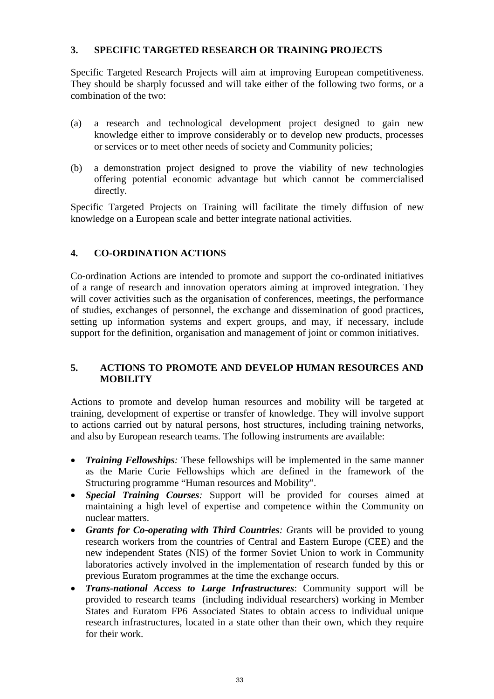#### **3. SPECIFIC TARGETED RESEARCH OR TRAINING PROJECTS**

Specific Targeted Research Projects will aim at improving European competitiveness. They should be sharply focussed and will take either of the following two forms, or a combination of the two:

- (a) a research and technological development project designed to gain new knowledge either to improve considerably or to develop new products, processes or services or to meet other needs of society and Community policies;
- (b) a demonstration project designed to prove the viability of new technologies offering potential economic advantage but which cannot be commercialised directly.

Specific Targeted Projects on Training will facilitate the timely diffusion of new knowledge on a European scale and better integrate national activities.

## **4. CO-ORDINATION ACTIONS**

Co-ordination Actions are intended to promote and support the co-ordinated initiatives of a range of research and innovation operators aiming at improved integration. They will cover activities such as the organisation of conferences, meetings, the performance of studies, exchanges of personnel, the exchange and dissemination of good practices, setting up information systems and expert groups, and may, if necessary, include support for the definition, organisation and management of joint or common initiatives.

#### **5. ACTIONS TO PROMOTE AND DEVELOP HUMAN RESOURCES AND MOBILITY**

Actions to promote and develop human resources and mobility will be targeted at training, development of expertise or transfer of knowledge. They will involve support to actions carried out by natural persons, host structures, including training networks, and also by European research teams. The following instruments are available:

- $\bullet$  *Training Fellowships:* These fellowships will be implemented in the same manner as the Marie Curie Fellowships which are defined in the framework of the Structuring programme "Human resources and Mobility".
- $\bullet$  *Special Training Courses:* Support will be provided for courses aimed at maintaining a high level of expertise and competence within the Community on nuclear matters.
- $\bullet$  *Grants for Co-operating with Third Countries: G*rants will be provided to young research workers from the countries of Central and Eastern Europe (CEE) and the new independent States (NIS) of the former Soviet Union to work in Community laboratories actively involved in the implementation of research funded by this or previous Euratom programmes at the time the exchange occurs.
- $\bullet$  *Trans-national Access to Large Infrastructures*: Community support will be provided to research teams (including individual researchers) working in Member States and Euratom FP6 Associated States to obtain access to individual unique research infrastructures, located in a state other than their own, which they require for their work.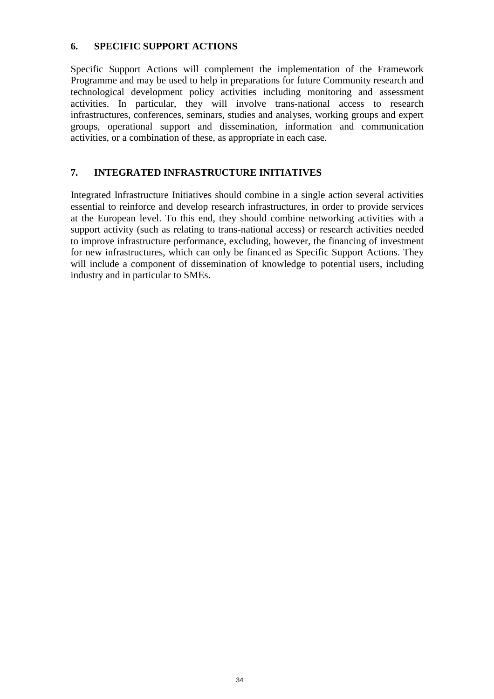#### **6. SPECIFIC SUPPORT ACTIONS**

Specific Support Actions will complement the implementation of the Framework Programme and may be used to help in preparations for future Community research and technological development policy activities including monitoring and assessment activities. In particular, they will involve trans-national access to research infrastructures, conferences, seminars, studies and analyses, working groups and expert groups, operational support and dissemination, information and communication activities, or a combination of these, as appropriate in each case.

## **7. INTEGRATED INFRASTRUCTURE INITIATIVES**

Integrated Infrastructure Initiatives should combine in a single action several activities essential to reinforce and develop research infrastructures, in order to provide services at the European level. To this end, they should combine networking activities with a support activity (such as relating to trans-national access) or research activities needed to improve infrastructure performance, excluding, however, the financing of investment for new infrastructures, which can only be financed as Specific Support Actions. They will include a component of dissemination of knowledge to potential users, including industry and in particular to SMEs.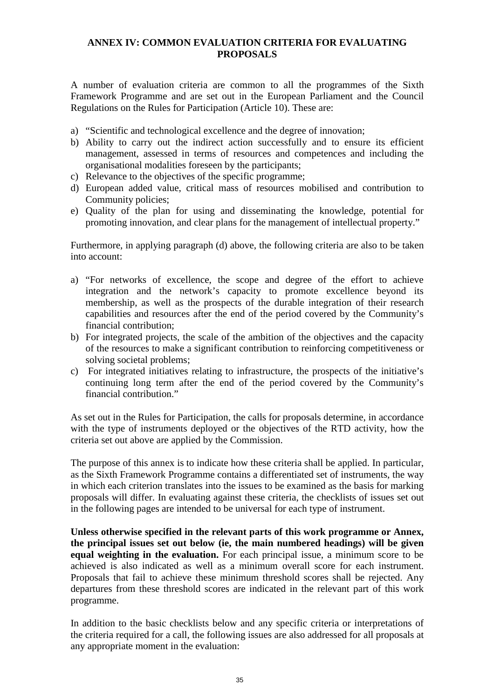#### **ANNEX IV: COMMON EVALUATION CRITERIA FOR EVALUATING PROPOSALS**

A number of evaluation criteria are common to all the programmes of the Sixth Framework Programme and are set out in the European Parliament and the Council Regulations on the Rules for Participation (Article 10). These are:

- a) "Scientific and technological excellence and the degree of innovation;
- b) Ability to carry out the indirect action successfully and to ensure its efficient management, assessed in terms of resources and competences and including the organisational modalities foreseen by the participants;
- c) Relevance to the objectives of the specific programme;
- d) European added value, critical mass of resources mobilised and contribution to Community policies;
- e) Quality of the plan for using and disseminating the knowledge, potential for promoting innovation, and clear plans for the management of intellectual property."

Furthermore, in applying paragraph (d) above, the following criteria are also to be taken into account:

- a) "For networks of excellence, the scope and degree of the effort to achieve integration and the network's capacity to promote excellence beyond its membership, as well as the prospects of the durable integration of their research capabilities and resources after the end of the period covered by the Community's financial contribution;
- b) For integrated projects, the scale of the ambition of the objectives and the capacity of the resources to make a significant contribution to reinforcing competitiveness or solving societal problems;
- c) For integrated initiatives relating to infrastructure, the prospects of the initiative's continuing long term after the end of the period covered by the Community's financial contribution."

As set out in the Rules for Participation, the calls for proposals determine, in accordance with the type of instruments deployed or the objectives of the RTD activity, how the criteria set out above are applied by the Commission.

The purpose of this annex is to indicate how these criteria shall be applied. In particular, as the Sixth Framework Programme contains a differentiated set of instruments, the way in which each criterion translates into the issues to be examined as the basis for marking proposals will differ. In evaluating against these criteria, the checklists of issues set out in the following pages are intended to be universal for each type of instrument.

**Unless otherwise specified in the relevant parts of this work programme or Annex, the principal issues set out below (ie, the main numbered headings) will be given equal weighting in the evaluation.** For each principal issue, a minimum score to be achieved is also indicated as well as a minimum overall score for each instrument. Proposals that fail to achieve these minimum threshold scores shall be rejected. Any departures from these threshold scores are indicated in the relevant part of this work programme.

In addition to the basic checklists below and any specific criteria or interpretations of the criteria required for a call, the following issues are also addressed for all proposals at any appropriate moment in the evaluation: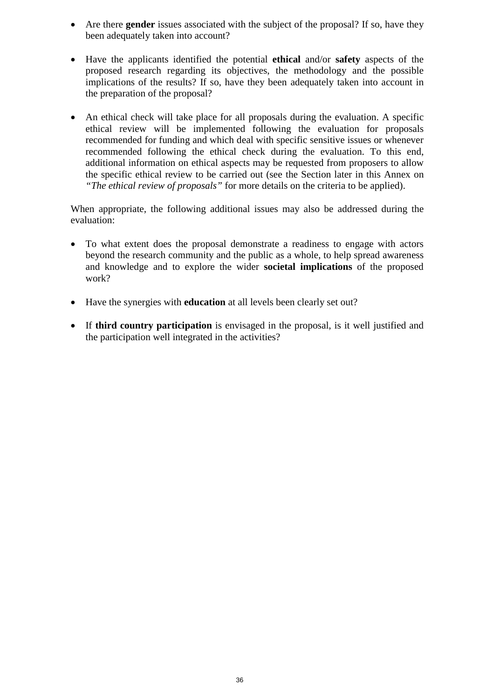- - Are there **gender** issues associated with the subject of the proposal? If so, have they been adequately taken into account?
- $\bullet$  Have the applicants identified the potential **ethical** and/or **safety** aspects of the proposed research regarding its objectives, the methodology and the possible implications of the results? If so, have they been adequately taken into account in the preparation of the proposal?
- $\bullet$  An ethical check will take place for all proposals during the evaluation. A specific ethical review will be implemented following the evaluation for proposals recommended for funding and which deal with specific sensitive issues or whenever recommended following the ethical check during the evaluation. To this end, additional information on ethical aspects may be requested from proposers to allow the specific ethical review to be carried out (see the Section later in this Annex on *"The ethical review of proposals"* for more details on the criteria to be applied).

When appropriate, the following additional issues may also be addressed during the evaluation:

- $\bullet$  To what extent does the proposal demonstrate a readiness to engage with actors beyond the research community and the public as a whole, to help spread awareness and knowledge and to explore the wider **societal implications** of the proposed work?
- $\bullet$ Have the synergies with **education** at all levels been clearly set out?
- $\bullet$  If **third country participation** is envisaged in the proposal, is it well justified and the participation well integrated in the activities?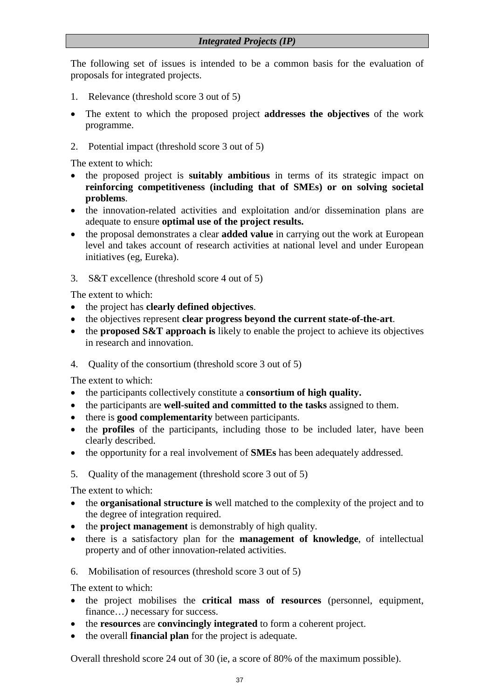The following set of issues is intended to be a common basis for the evaluation of proposals for integrated projects.

- 1. Relevance (threshold score 3 out of 5)
- The extent to which the proposed project **addresses the objectives** of the work programme.
- 2. Potential impact (threshold score 3 out of 5)

The extent to which:

- the proposed project is **suitably ambitious** in terms of its strategic impact on **reinforcing competitiveness (including that of SMEs) or on solving societal problems**.
- the innovation-related activities and exploitation and/or dissemination plans are adequate to ensure **optimal use of the project results.**
- $\bullet$  the proposal demonstrates a clear **added value** in carrying out the work at European level and takes account of research activities at national level and under European initiatives (eg, Eureka).
- 3. S&T excellence (threshold score 4 out of 5)

The extent to which:

- the project has **clearly defined objectives**.
- $\bullet$ the objectives represent **clear progress beyond the current state-of-the-art**.
- the **proposed S&T approach is** likely to enable the project to achieve its objectives in research and innovation.
- 4. Quality of the consortium (threshold score 3 out of 5)

The extent to which:

- the participants collectively constitute a **consortium of high quality.**
- $\bullet$ the participants are **well-suited and committed to the tasks** assigned to them.
- there is **good complementarity** between participants.
- $\bullet$  the **profiles** of the participants, including those to be included later, have been clearly described.
- $\bullet$ the opportunity for a real involvement of **SMEs** has been adequately addressed.
- 5. Quality of the management (threshold score 3 out of 5)

The extent to which:

- the **organisational structure is** well matched to the complexity of the project and to the degree of integration required.
- the **project management** is demonstrably of high quality.
- $\bullet$  there is a satisfactory plan for the **management of knowledge**, of intellectual property and of other innovation-related activities.
- 6. Mobilisation of resources (threshold score 3 out of 5)

The extent to which:

- the project mobilises the **critical mass of resources** (personnel, equipment, finance...) necessary for success.
- the **resources** are **convincingly integrated** to form a coherent project.
- the overall **financial plan** for the project is adequate.

Overall threshold score 24 out of 30 (ie, a score of 80% of the maximum possible).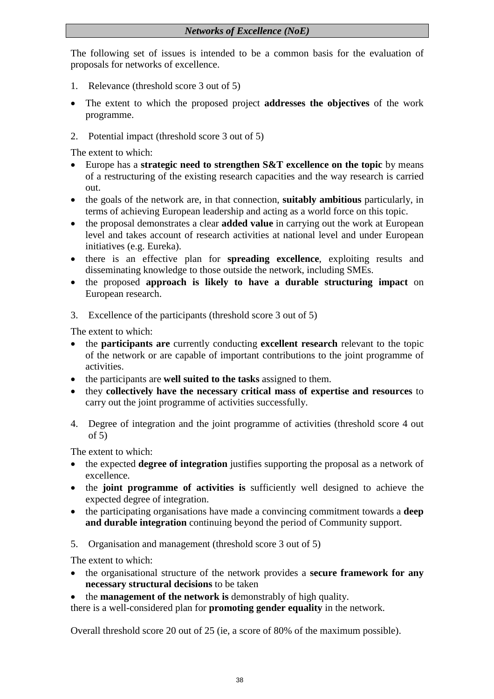## *Networks of Excellence (NoE)*

The following set of issues is intended to be a common basis for the evaluation of proposals for networks of excellence.

- 1. Relevance (threshold score 3 out of 5)
- $\bullet$  The extent to which the proposed project **addresses the objectives** of the work programme.
- 2. Potential impact (threshold score 3 out of 5)

The extent to which:

- $\bullet$  Europe has a **strategic need to strengthen S&T excellence on the topic** by means of a restructuring of the existing research capacities and the way research is carried out.
- the goals of the network are, in that connection, **suitably ambitious** particularly, in terms of achieving European leadership and acting as a world force on this topic.
- $\bullet$  the proposal demonstrates a clear **added value** in carrying out the work at European level and takes account of research activities at national level and under European initiatives (e.g. Eureka).
- there is an effective plan for **spreading excellence**, exploiting results and disseminating knowledge to those outside the network, including SMEs.
- the proposed **approach is likely to have a durable structuring impact** on European research.
- 3. Excellence of the participants (threshold score 3 out of 5)

The extent to which:

- the **participants are** currently conducting **excellent research** relevant to the topic of the network or are capable of important contributions to the joint programme of activities.
- the participants are **well suited to the tasks** assigned to them.
- they **collectively have the necessary critical mass of expertise and resources** to carry out the joint programme of activities successfully.
- 4. Degree of integration and the joint programme of activities (threshold score 4 out of 5)

The extent to which:

- the expected **degree of integration** justifies supporting the proposal as a network of excellence.
- the **joint programme of activities is** sufficiently well designed to achieve the expected degree of integration.
- the participating organisations have made a convincing commitment towards a **deep and durable integration** continuing beyond the period of Community support.
- 5. Organisation and management (threshold score 3 out of 5)

The extent to which:

- the organisational structure of the network provides a **secure framework for any necessary structural decisions** to be taken
- the **management of the network is** demonstrably of high quality.

there is a well-considered plan for **promoting gender equality** in the network.

Overall threshold score 20 out of 25 (ie, a score of 80% of the maximum possible).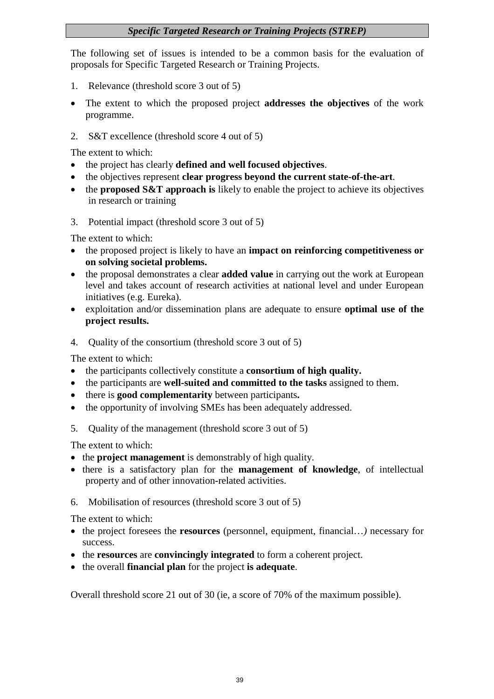## *Specific Targeted Research or Training Projects (STREP)*

The following set of issues is intended to be a common basis for the evaluation of proposals for Specific Targeted Research or Training Projects.

- 1. Relevance (threshold score 3 out of 5)
- $\bullet$  The extent to which the proposed project **addresses the objectives** of the work programme.
- 2. S&T excellence (threshold score 4 out of 5)

The extent to which:

- the project has clearly **defined and well focused objectives**.
- the objectives represent **clear progress beyond the current state-of-the-art**.
- $\bullet$  the **proposed S&T approach is** likely to enable the project to achieve its objectives in research or training
- 3. Potential impact (threshold score 3 out of 5)

The extent to which:

- the proposed project is likely to have an **impact on reinforcing competitiveness or on solving societal problems.**
- $\bullet$  the proposal demonstrates a clear **added value** in carrying out the work at European level and takes account of research activities at national level and under European initiatives (e.g. Eureka).
- $\bullet$  exploitation and/or dissemination plans are adequate to ensure **optimal use of the project results.**
- 4. Quality of the consortium (threshold score 3 out of 5)

The extent to which:

- the participants collectively constitute a **consortium of high quality.**
- $\bullet$ the participants are **well-suited and committed to the tasks** assigned to them.
- $\bullet$ there is **good complementarity** between participants**.**
- $\bullet$ the opportunity of involving SMEs has been adequately addressed.
- 5. Quality of the management (threshold score 3 out of 5)

The extent to which:

- the **project management** is demonstrably of high quality.
- there is a satisfactory plan for the **management of knowledge**, of intellectual property and of other innovation-related activities.
- 6. Mobilisation of resources (threshold score 3 out of 5)

The extent to which:

- the project foresees the **resources** (personnel, equipment, financial…*)* necessary for success.
- the **resources** are **convincingly integrated** to form a coherent project.
- the overall **financial plan** for the project **is adequate**.

Overall threshold score 21 out of 30 (ie, a score of 70% of the maximum possible).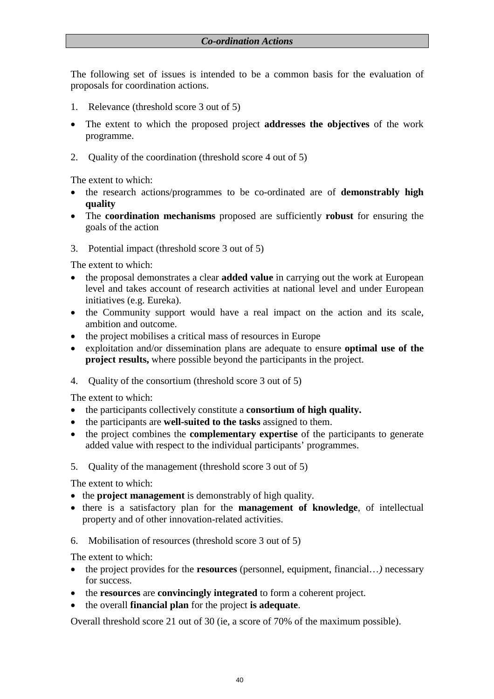The following set of issues is intended to be a common basis for the evaluation of proposals for coordination actions.

- 1. Relevance (threshold score 3 out of 5)
- - The extent to which the proposed project **addresses the objectives** of the work programme.
- 2. Quality of the coordination (threshold score 4 out of 5)

The extent to which:

- the research actions/programmes to be co-ordinated are of **demonstrably high quality**
- $\bullet$  The **coordination mechanisms** proposed are sufficiently **robust** for ensuring the goals of the action
- 3. Potential impact (threshold score 3 out of 5)

The extent to which:

- $\bullet$  the proposal demonstrates a clear **added value** in carrying out the work at European level and takes account of research activities at national level and under European initiatives (e.g. Eureka).
- the Community support would have a real impact on the action and its scale, ambition and outcome.
- the project mobilises a critical mass of resources in Europe
- exploitation and/or dissemination plans are adequate to ensure **optimal use of the project results,** where possible beyond the participants in the project.
- 4. Quality of the consortium (threshold score 3 out of 5)

The extent to which:

- the participants collectively constitute a **consortium of high quality.**
- the participants are **well-suited to the tasks** assigned to them.
- $\bullet$  the project combines the **complementary expertise** of the participants to generate added value with respect to the individual participants' programmes.
- 5. Quality of the management (threshold score 3 out of 5)

The extent to which:

- the **project management** is demonstrably of high quality.
- there is a satisfactory plan for the **management of knowledge**, of intellectual property and of other innovation-related activities.
- 6. Mobilisation of resources (threshold score 3 out of 5)

The extent to which:

- $\bullet$  the project provides for the **resources** (personnel, equipment, financial…*)* necessary for success.
- the **resources** are **convincingly integrated** to form a coherent project.
- the overall **financial plan** for the project **is adequate**.

Overall threshold score 21 out of 30 (ie, a score of 70% of the maximum possible).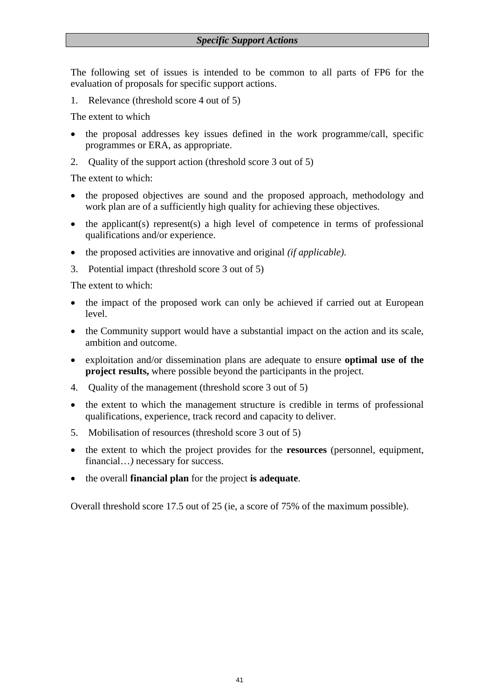The following set of issues is intended to be common to all parts of FP6 for the evaluation of proposals for specific support actions.

1. Relevance (threshold score 4 out of 5)

The extent to which

- $\bullet$  the proposal addresses key issues defined in the work programme/call, specific programmes or ERA, as appropriate.
- 2. Quality of the support action (threshold score 3 out of 5)

The extent to which:

- the proposed objectives are sound and the proposed approach, methodology and work plan are of a sufficiently high quality for achieving these objectives.
- $\bullet$  the applicant(s) represent(s) a high level of competence in terms of professional qualifications and/or experience.
- $\bullet$ the proposed activities are innovative and original *(if applicable)*.
- 3. Potential impact (threshold score 3 out of 5)

The extent to which:

- $\bullet$  the impact of the proposed work can only be achieved if carried out at European level.
- the Community support would have a substantial impact on the action and its scale, ambition and outcome.
- exploitation and/or dissemination plans are adequate to ensure **optimal use of the project results,** where possible beyond the participants in the project.
- 4. Quality of the management (threshold score 3 out of 5)
- $\bullet$  the extent to which the management structure is credible in terms of professional qualifications, experience, track record and capacity to deliver.
- 5. Mobilisation of resources (threshold score 3 out of 5)
- $\bullet$  the extent to which the project provides for the **resources** (personnel, equipment, financial...) necessary for success.
- $\bullet$ the overall **financial plan** for the project **is adequate**.

Overall threshold score 17.5 out of 25 (ie, a score of 75% of the maximum possible).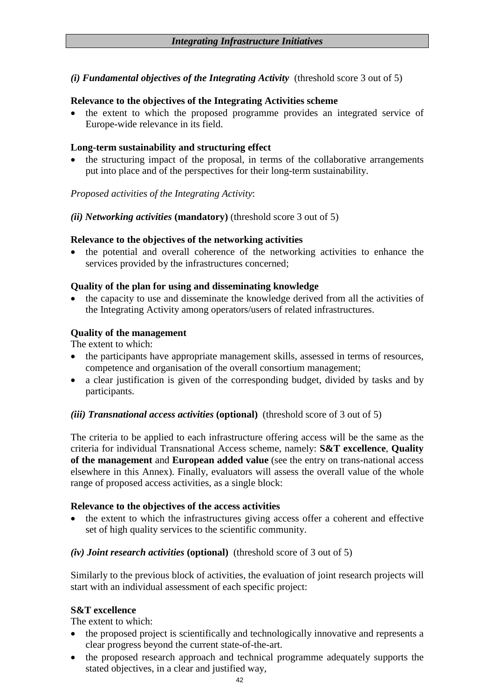*(i) Fundamental objectives of the Integrating Activity* (threshold score 3 out of 5)

#### **Relevance to the objectives of the Integrating Activities scheme**

 $\bullet$  the extent to which the proposed programme provides an integrated service of Europe-wide relevance in its field.

#### **Long-term sustainability and structuring effect**

 the structuring impact of the proposal, in terms of the collaborative arrangements put into place and of the perspectives for their long-term sustainability.

*Proposed activities of the Integrating Activity*:

*(ii) Networking activities* **(mandatory)** (threshold score 3 out of 5)

#### **Relevance to the objectives of the networking activities**

 $\bullet$  the potential and overall coherence of the networking activities to enhance the services provided by the infrastructures concerned;

#### **Quality of the plan for using and disseminating knowledge**

 the capacity to use and disseminate the knowledge derived from all the activities of the Integrating Activity among operators/users of related infrastructures.

#### **Quality of the management**

The extent to which:

- $\bullet$  the participants have appropriate management skills, assessed in terms of resources, competence and organisation of the overall consortium management;
- $\bullet$  a clear justification is given of the corresponding budget, divided by tasks and by participants.

#### *(iii) Transnational access activities* **(optional)** (threshold score of 3 out of 5)

The criteria to be applied to each infrastructure offering access will be the same as the criteria for individual Transnational Access scheme, namely: **S&T excellence**, **Quality of the management** and **European added value** (see the entry on trans-national access elsewhere in this Annex). Finally, evaluators will assess the overall value of the whole range of proposed access activities, as a single block:

#### **Relevance to the objectives of the access activities**

 $\bullet$  the extent to which the infrastructures giving access offer a coherent and effective set of high quality services to the scientific community.

## *(iv) Joint research activities* **(optional)** (threshold score of 3 out of 5)

Similarly to the previous block of activities, the evaluation of joint research projects will start with an individual assessment of each specific project:

## **S&T excellence**

The extent to which:

- the proposed project is scientifically and technologically innovative and represents a clear progress beyond the current state-of-the-art.
- $\bullet$  the proposed research approach and technical programme adequately supports the stated objectives, in a clear and justified way,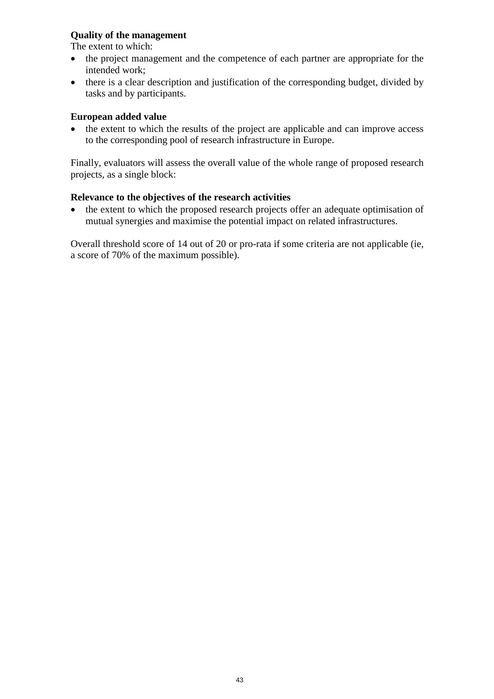#### **Quality of the management**

The extent to which:

- $\bullet$  the project management and the competence of each partner are appropriate for the intended work;
- $\bullet$  there is a clear description and justification of the corresponding budget, divided by tasks and by participants.

#### **European added value**

 the extent to which the results of the project are applicable and can improve access to the corresponding pool of research infrastructure in Europe.

Finally, evaluators will assess the overall value of the whole range of proposed research projects, as a single block:

#### **Relevance to the objectives of the research activities**

 $\bullet$  the extent to which the proposed research projects offer an adequate optimisation of mutual synergies and maximise the potential impact on related infrastructures.

Overall threshold score of 14 out of 20 or pro-rata if some criteria are not applicable (ie, a score of 70% of the maximum possible).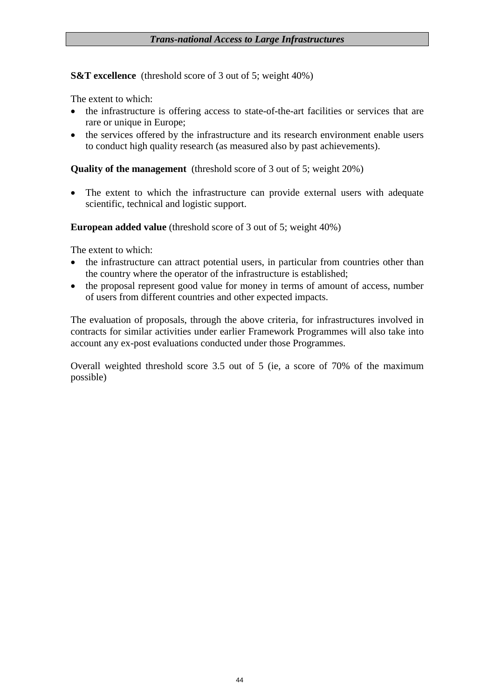**S&T excellence** (threshold score of 3 out of 5; weight 40%)

The extent to which:

- $\bullet$  the infrastructure is offering access to state-of-the-art facilities or services that are rare or unique in Europe;
- the services offered by the infrastructure and its research environment enable users to conduct high quality research (as measured also by past achievements).

**Quality of the management** (threshold score of 3 out of 5; weight 20%)

 $\bullet$  The extent to which the infrastructure can provide external users with adequate scientific, technical and logistic support.

**European added value** (threshold score of 3 out of 5; weight 40%)

The extent to which:

- $\bullet$  the infrastructure can attract potential users, in particular from countries other than the country where the operator of the infrastructure is established;
- the proposal represent good value for money in terms of amount of access, number of users from different countries and other expected impacts.

The evaluation of proposals, through the above criteria, for infrastructures involved in contracts for similar activities under earlier Framework Programmes will also take into account any ex-post evaluations conducted under those Programmes.

Overall weighted threshold score 3.5 out of 5 (ie, a score of 70% of the maximum possible)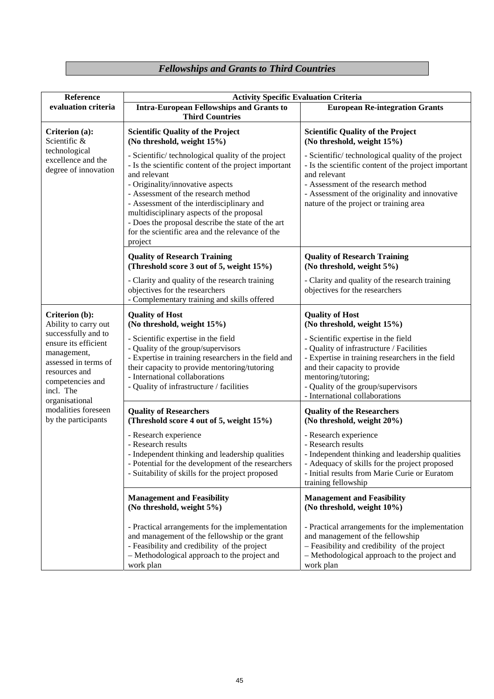# *Fellowships and Grants to Third Countries*

| Reference                                                                                                                                              | <b>Activity Specific Evaluation Criteria</b>                                                                                                                                                                                                                                                                                                                                                                       |                                                                                                                                                                                                                                                                     |  |  |
|--------------------------------------------------------------------------------------------------------------------------------------------------------|--------------------------------------------------------------------------------------------------------------------------------------------------------------------------------------------------------------------------------------------------------------------------------------------------------------------------------------------------------------------------------------------------------------------|---------------------------------------------------------------------------------------------------------------------------------------------------------------------------------------------------------------------------------------------------------------------|--|--|
| evaluation criteria                                                                                                                                    | <b>Intra-European Fellowships and Grants to</b><br><b>Third Countries</b>                                                                                                                                                                                                                                                                                                                                          | <b>European Re-integration Grants</b>                                                                                                                                                                                                                               |  |  |
| Criterion (a):<br>Scientific &                                                                                                                         | <b>Scientific Quality of the Project</b><br>(No threshold, weight 15%)                                                                                                                                                                                                                                                                                                                                             | <b>Scientific Quality of the Project</b><br>(No threshold, weight 15%)                                                                                                                                                                                              |  |  |
| technological<br>excellence and the<br>degree of innovation                                                                                            | - Scientific/technological quality of the project<br>- Is the scientific content of the project important<br>and relevant<br>- Originality/innovative aspects<br>- Assessment of the research method<br>- Assessment of the interdisciplinary and<br>multidisciplinary aspects of the proposal<br>- Does the proposal describe the state of the art<br>for the scientific area and the relevance of the<br>project | - Scientific/technological quality of the project<br>- Is the scientific content of the project important<br>and relevant<br>- Assessment of the research method<br>- Assessment of the originality and innovative<br>nature of the project or training area        |  |  |
|                                                                                                                                                        | <b>Quality of Research Training</b><br>(Threshold score 3 out of 5, weight 15%)                                                                                                                                                                                                                                                                                                                                    | <b>Quality of Research Training</b><br>(No threshold, weight 5%)                                                                                                                                                                                                    |  |  |
|                                                                                                                                                        | - Clarity and quality of the research training<br>objectives for the researchers<br>- Complementary training and skills offered                                                                                                                                                                                                                                                                                    | - Clarity and quality of the research training<br>objectives for the researchers                                                                                                                                                                                    |  |  |
| Criterion (b):<br>Ability to carry out                                                                                                                 | <b>Quality of Host</b><br>(No threshold, weight 15%)                                                                                                                                                                                                                                                                                                                                                               | <b>Quality of Host</b><br>(No threshold, weight 15%)                                                                                                                                                                                                                |  |  |
| successfully and to<br>ensure its efficient<br>management,<br>assessed in terms of<br>resources and<br>competencies and<br>incl. The<br>organisational | - Scientific expertise in the field<br>- Quality of the group/supervisors<br>- Expertise in training researchers in the field and<br>their capacity to provide mentoring/tutoring<br>- International collaborations<br>- Quality of infrastructure / facilities                                                                                                                                                    | - Scientific expertise in the field<br>- Quality of infrastructure / Facilities<br>- Expertise in training researchers in the field<br>and their capacity to provide<br>mentoring/tutoring;<br>- Quality of the group/supervisors<br>- International collaborations |  |  |
| modalities foreseen<br>by the participants                                                                                                             | <b>Quality of Researchers</b><br>(Threshold score 4 out of 5, weight 15%)                                                                                                                                                                                                                                                                                                                                          | <b>Quality of the Researchers</b><br>(No threshold, weight 20%)                                                                                                                                                                                                     |  |  |
|                                                                                                                                                        | - Research experience<br>- Research results<br>- Independent thinking and leadership qualities<br>- Potential for the development of the researchers<br>- Suitability of skills for the project proposed                                                                                                                                                                                                           | - Research experience<br>- Research results<br>- Independent thinking and leadership qualities<br>- Adequacy of skills for the project proposed<br>- Initial results from Marie Curie or Euratom<br>training fellowship                                             |  |  |
|                                                                                                                                                        | <b>Management and Feasibility</b><br>(No threshold, weight 5%)                                                                                                                                                                                                                                                                                                                                                     | <b>Management and Feasibility</b><br>(No threshold, weight 10%)                                                                                                                                                                                                     |  |  |
|                                                                                                                                                        | - Practical arrangements for the implementation<br>and management of the fellowship or the grant<br>- Feasibility and credibility of the project<br>- Methodological approach to the project and<br>work plan                                                                                                                                                                                                      | - Practical arrangements for the implementation<br>and management of the fellowship<br>- Feasibility and credibility of the project<br>- Methodological approach to the project and<br>work plan                                                                    |  |  |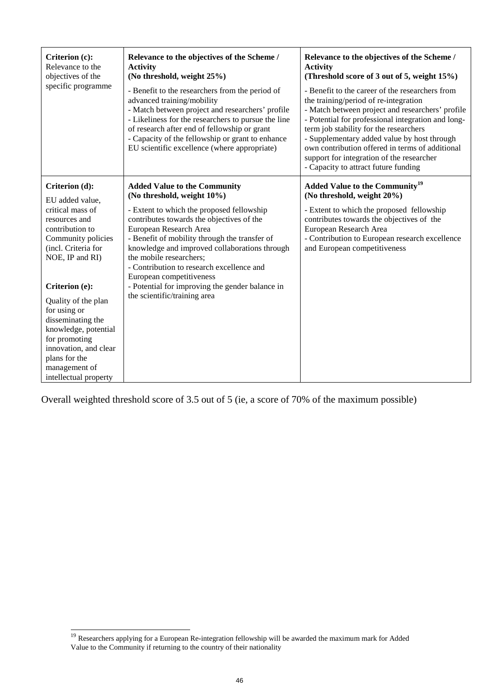| Criterion (c):<br>Relevance to the<br>objectives of the | Relevance to the objectives of the Scheme /<br><b>Activity</b><br>(No threshold, weight 25%)                                                                                                                                                                                                                                                 | Relevance to the objectives of the Scheme /<br><b>Activity</b><br>(Threshold score of 3 out of 5, weight 15%)                                                                                                                                                                                                                                                                                                                       |
|---------------------------------------------------------|----------------------------------------------------------------------------------------------------------------------------------------------------------------------------------------------------------------------------------------------------------------------------------------------------------------------------------------------|-------------------------------------------------------------------------------------------------------------------------------------------------------------------------------------------------------------------------------------------------------------------------------------------------------------------------------------------------------------------------------------------------------------------------------------|
| specific programme                                      | - Benefit to the researchers from the period of<br>advanced training/mobility<br>- Match between project and researchers' profile<br>- Likeliness for the researchers to pursue the line<br>of research after end of fellowship or grant<br>- Capacity of the fellowship or grant to enhance<br>EU scientific excellence (where appropriate) | - Benefit to the career of the researchers from<br>the training/period of re-integration<br>- Match between project and researchers' profile<br>- Potential for professional integration and long-<br>term job stability for the researchers<br>- Supplementary added value by host through<br>own contribution offered in terms of additional<br>support for integration of the researcher<br>- Capacity to attract future funding |
| Criterion (d):                                          | <b>Added Value to the Community</b><br>(No threshold, weight 10%)                                                                                                                                                                                                                                                                            | <b>Added Value to the Community<sup>19</sup></b><br>(No threshold, weight 20%)                                                                                                                                                                                                                                                                                                                                                      |
| EU added value,<br>critical mass of                     | - Extent to which the proposed fellowship                                                                                                                                                                                                                                                                                                    | - Extent to which the proposed fellowship                                                                                                                                                                                                                                                                                                                                                                                           |
| resources and                                           | contributes towards the objectives of the                                                                                                                                                                                                                                                                                                    | contributes towards the objectives of the                                                                                                                                                                                                                                                                                                                                                                                           |
| contribution to                                         | European Research Area                                                                                                                                                                                                                                                                                                                       | European Research Area                                                                                                                                                                                                                                                                                                                                                                                                              |
| Community policies                                      | - Benefit of mobility through the transfer of                                                                                                                                                                                                                                                                                                | - Contribution to European research excellence                                                                                                                                                                                                                                                                                                                                                                                      |
| (incl. Criteria for                                     | knowledge and improved collaborations through                                                                                                                                                                                                                                                                                                | and European competitiveness                                                                                                                                                                                                                                                                                                                                                                                                        |
| NOE, IP and RI)                                         | the mobile researchers;                                                                                                                                                                                                                                                                                                                      |                                                                                                                                                                                                                                                                                                                                                                                                                                     |
|                                                         | - Contribution to research excellence and                                                                                                                                                                                                                                                                                                    |                                                                                                                                                                                                                                                                                                                                                                                                                                     |
|                                                         | European competitiveness                                                                                                                                                                                                                                                                                                                     |                                                                                                                                                                                                                                                                                                                                                                                                                                     |
| Criterion (e):                                          | - Potential for improving the gender balance in                                                                                                                                                                                                                                                                                              |                                                                                                                                                                                                                                                                                                                                                                                                                                     |
| Quality of the plan                                     | the scientific/training area                                                                                                                                                                                                                                                                                                                 |                                                                                                                                                                                                                                                                                                                                                                                                                                     |
| for using or                                            |                                                                                                                                                                                                                                                                                                                                              |                                                                                                                                                                                                                                                                                                                                                                                                                                     |
| disseminating the                                       |                                                                                                                                                                                                                                                                                                                                              |                                                                                                                                                                                                                                                                                                                                                                                                                                     |
| knowledge, potential                                    |                                                                                                                                                                                                                                                                                                                                              |                                                                                                                                                                                                                                                                                                                                                                                                                                     |
| for promoting                                           |                                                                                                                                                                                                                                                                                                                                              |                                                                                                                                                                                                                                                                                                                                                                                                                                     |
| innovation, and clear                                   |                                                                                                                                                                                                                                                                                                                                              |                                                                                                                                                                                                                                                                                                                                                                                                                                     |
| plans for the                                           |                                                                                                                                                                                                                                                                                                                                              |                                                                                                                                                                                                                                                                                                                                                                                                                                     |
| management of                                           |                                                                                                                                                                                                                                                                                                                                              |                                                                                                                                                                                                                                                                                                                                                                                                                                     |
| intellectual property                                   |                                                                                                                                                                                                                                                                                                                                              |                                                                                                                                                                                                                                                                                                                                                                                                                                     |

Overall weighted threshold score of 3.5 out of 5 (ie, a score of 70% of the maximum possible)

l

<sup>&</sup>lt;sup>19</sup> Researchers applying for a European Re-integration fellowship will be awarded the maximum mark for Added Value to the Community if returning to the country of their nationality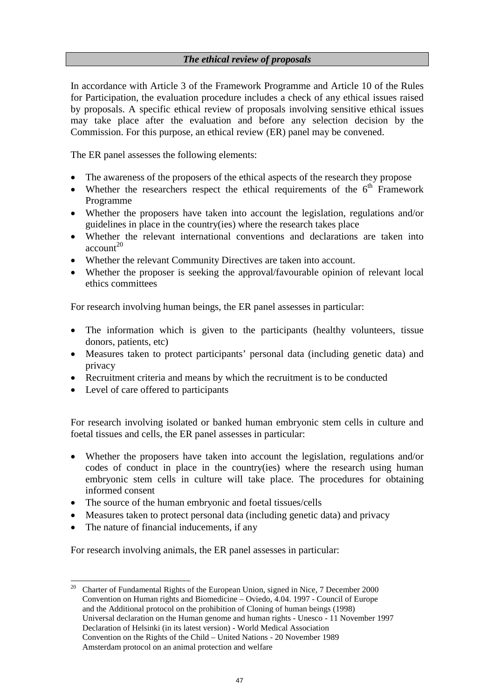#### *The ethical review of proposals*

In accordance with Article 3 of the Framework Programme and Article 10 of the Rules for Participation, the evaluation procedure includes a check of any ethical issues raised by proposals. A specific ethical review of proposals involving sensitive ethical issues may take place after the evaluation and before any selection decision by the Commission. For this purpose, an ethical review (ER) panel may be convened.

The ER panel assesses the following elements:

- The awareness of the proposers of the ethical aspects of the research they propose
- Whether the researchers respect the ethical requirements of the  $6<sup>th</sup>$  Framework Programme
- Whether the proposers have taken into account the legislation, regulations and/or guidelines in place in the country(ies) where the research takes place
- Whether the relevant international conventions and declarations are taken into  $account<sup>20</sup>$
- -Whether the relevant Community Directives are taken into account.
- - Whether the proposer is seeking the approval/favourable opinion of relevant local ethics committees

For research involving human beings, the ER panel assesses in particular:

- The information which is given to the participants (healthy volunteers, tissue donors, patients, etc)
- Measures taken to protect participants' personal data (including genetic data) and privacy
- Recruitment criteria and means by which the recruitment is to be conducted
- Level of care offered to participants

For research involving isolated or banked human embryonic stem cells in culture and foetal tissues and cells, the ER panel assesses in particular:

- - Whether the proposers have taken into account the legislation, regulations and/or codes of conduct in place in the country(ies) where the research using human embryonic stem cells in culture will take place. The procedures for obtaining informed consent
- -The source of the human embryonic and foetal tissues/cells
- -Measures taken to protect personal data (including genetic data) and privacy
- -The nature of financial inducements, if any

For research involving animals, the ER panel assesses in particular:

 $20\,$ 20 Charter of Fundamental Rights of the European Union, signed in Nice, 7 December 2000 Convention on Human rights and Biomedicine – Oviedo, 4.04. 1997 - Council of Europe and the Additional protocol on the prohibition of Cloning of human beings (1998) Universal declaration on the Human genome and human rights - Unesco - 11 November 1997 Declaration of Helsinki (in its latest version) - World Medical Association Convention on the Rights of the Child – United Nations - 20 November 1989 Amsterdam protocol on an animal protection and welfare